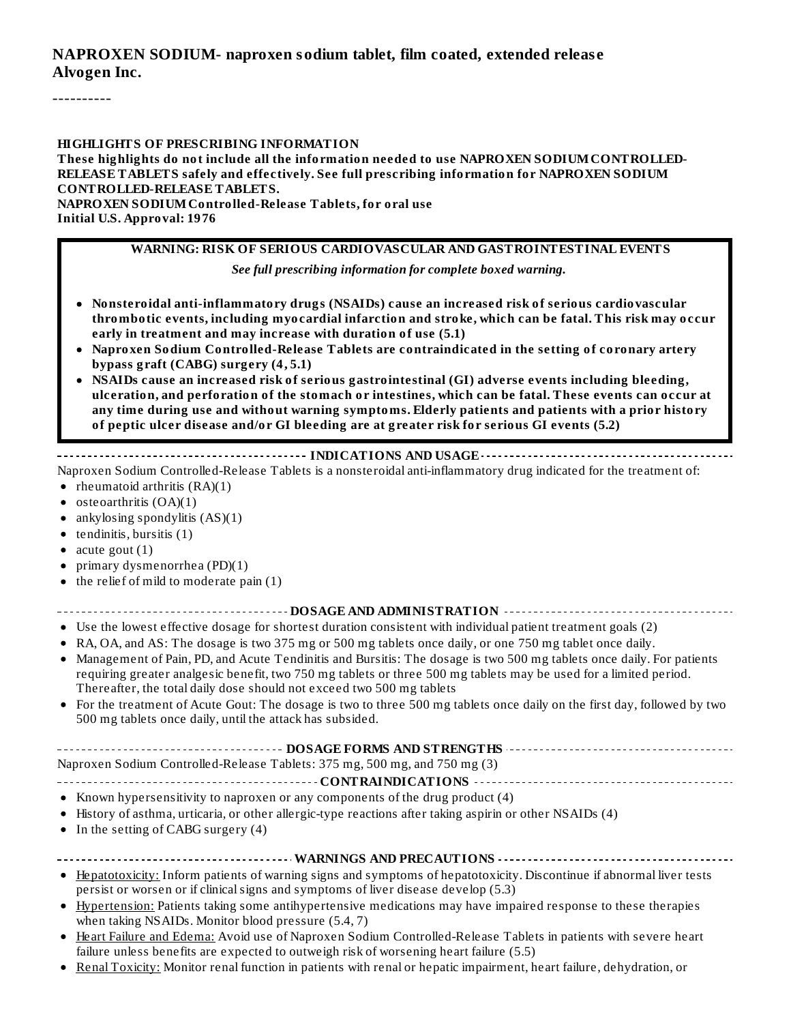#### **NAPROXEN SODIUM- naproxen sodium tablet, film coated, extended releas e Alvogen Inc.**

----------

#### **HIGHLIGHTS OF PRESCRIBING INFORMATION**

**These highlights do not include all the information needed to use NAPROXEN SODIUMCONTROLLED-RELEASE TABLETS safely and effectively. See full prescribing information for NAPROXEN SODIUM CONTROLLED-RELEASE TABLETS.**

**NAPROXEN SODIUMControlled-Release Tablets, for oral use Initial U.S. Approval: 1976**

#### **WARNING: RISK OF SERIOUS CARDIOVASCULAR AND GASTROINTESTINAL EVENTS**

*See full prescribing information for complete boxed warning.*

- **Nonsteroidal anti-inflammatory drugs (NSAIDs) cause an increased risk of serious cardiovascular thrombotic events, including myocardial infarction and stroke, which can be fatal. This risk may occur early in treatment and may increase with duration of use (5.1)**
- **Naproxen Sodium Controlled-Release Tablets are contraindicated in the setting of coronary artery bypass graft (CABG) surgery (4, 5.1)**
- **NSAIDs cause an increased risk of serious gastrointestinal (GI) adverse events including bleeding, ulceration, and perforation of the stomach or intestines, which can be fatal. These events can occur at any time during use and without warning symptoms. Elderly patients and patients with a prior history of peptic ulcer disease and/or GI bleeding are at greater risk for serious GI events (5.2)**

**INDICATIONS AND USAGE**

Naproxen Sodium Controlled-Release Tablets is a nonsteroidal anti-inflammatory drug indicated for the treatment of: • rheumatoid arthritis  $(RA)(1)$ 

- osteoarthritis  $(OA)(1)$
- ankylosing spondylitis (AS)(1)
- tendinitis, bursitis (1)  $\bullet$
- acute gout (1)  $\bullet$
- primary dysmenorrhea (PD)(1)  $\bullet$
- $\bullet$  the relief of mild to moderate pain  $(1)$

#### **DOSAGE AND ADMINISTRATION**

- Use the lowest effective dosage for shortest duration consistent with individual patient treatment goals (2)
- RA, OA, and AS: The dosage is two 375 mg or 500 mg tablets once daily, or one 750 mg tablet once daily.
- Management of Pain, PD, and Acute Tendinitis and Bursitis: The dosage is two 500 mg tablets once daily. For patients requiring greater analgesic benefit, two 750 mg tablets or three 500 mg tablets may be used for a limited period. Thereafter, the total daily dose should not exceed two 500 mg tablets
- For the treatment of Acute Gout: The dosage is two to three 500 mg tablets once daily on the first day, followed by two  $\bullet$ 500 mg tablets once daily, until the attack has subsided.

#### **DOSAGE FORMS AND STRENGTHS** Naproxen Sodium Controlled-Release Tablets: 375 mg, 500 mg, and 750 mg (3) **CONTRAINDICATIONS** • Known hypersensitivity to naproxen or any components of the drug product (4) History of asthma, urticaria, or other allergic-type reactions after taking aspirin or other NSAIDs (4)

 $\bullet$  In the setting of CABG surgery (4)

- Hepatotoxicity: Inform patients of warning signs and symptoms of hepatotoxicity. Discontinue if abnormal liver tests persist or worsen or if clinicalsigns and symptoms of liver disease develop (5.3)
- Hypertension: Patients taking some antihypertensive medications may have impaired response to these therapies when taking NSAIDs. Monitor blood pressure (5.4, 7)
- Heart Failure and Edema: Avoid use of Naproxen Sodium Controlled-Release Tablets in patients with severe heart  $\bullet$ failure unless benefits are expected to outweigh risk of worsening heart failure (5.5)
- Renal Toxicity: Monitor renal function in patients with renal or hepatic impairment, heart failure, dehydration, or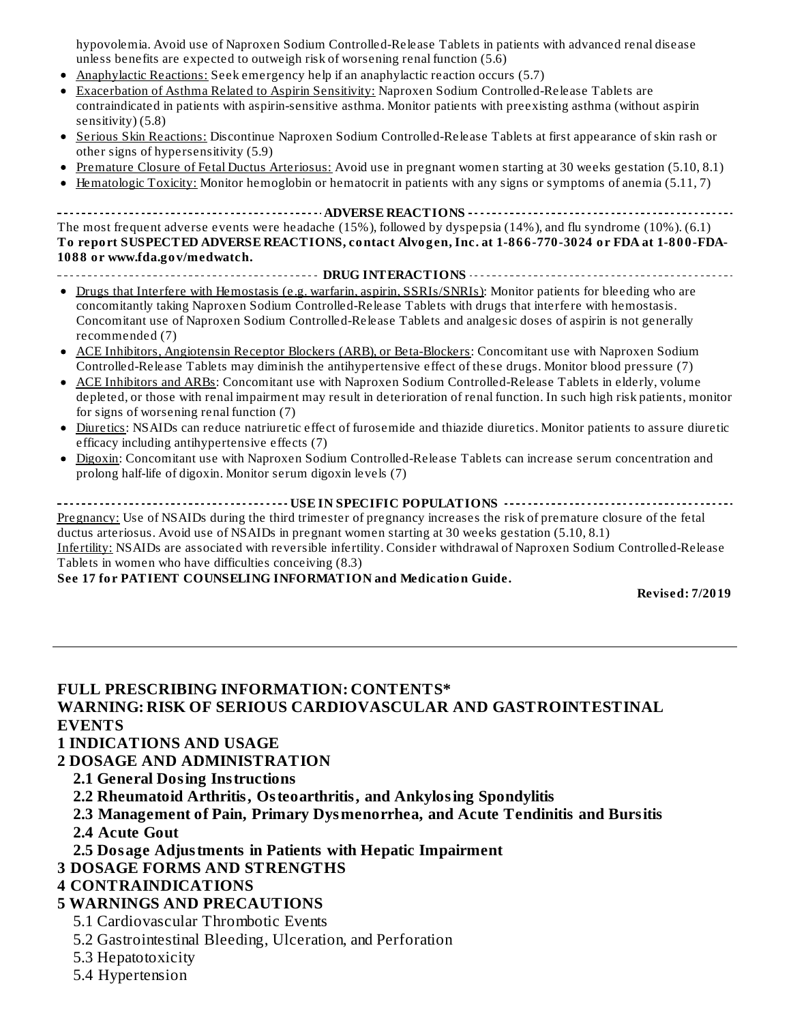hypovolemia. Avoid use of Naproxen Sodium Controlled-Release Tablets in patients with advanced renal disease unless benefits are expected to outweigh risk of worsening renal function (5.6)

- Anaphylactic Reactions: Seek emergency help if an anaphylactic reaction occurs (5.7)
- Exacerbation of Asthma Related to Aspirin Sensitivity: Naproxen Sodium Controlled-Release Tablets are contraindicated in patients with aspirin-sensitive asthma. Monitor patients with preexisting asthma (without aspirin sensitivity) (5.8)
- Serious Skin Reactions: Discontinue Naproxen Sodium Controlled-Release Tablets at first appearance of skin rash or  $\bullet$ other signs of hypersensitivity (5.9)
- Premature Closure of Fetal Ductus Arteriosus: Avoid use in pregnant women starting at 30 weeks gestation (5.10, 8.1)
- $\bullet$  Hematologic Toxicity: Monitor hemoglobin or hematocrit in patients with any signs or symptoms of anemia (5.11, 7)

**ADVERSE REACTIONS** The most frequent adverse events were headache (15%), followed by dyspepsia (14%), and flu syndrome (10%). (6.1) **To report SUSPECTED ADVERSE REACTIONS, contact Alvogen, Inc. at 1-866-770-3024 or FDA at 1-800-FDA-1088 or www.fda.gov/medwatch.**

- **DRUG INTERACTIONS**
- Drugs that Interfere with Hemostasis (e.g. warfarin, aspirin, SSRIs/SNRIs): Monitor patients for bleeding who are concomitantly taking Naproxen Sodium Controlled-Release Tablets with drugs that interfere with hemostasis. Concomitant use of Naproxen Sodium Controlled-Release Tablets and analgesic doses of aspirin is not generally recommended (7)
- ACE Inhibitors, Angiotensin Receptor Blockers (ARB), or Beta-Blockers: Concomitant use with Naproxen Sodium Controlled-Release Tablets may diminish the antihypertensive effect of these drugs. Monitor blood pressure (7)
- ACE Inhibitors and ARBs: Concomitant use with Naproxen Sodium Controlled-Release Tablets in elderly, volume  $\bullet$ depleted, or those with renal impairment may result in deterioration of renal function. In such high risk patients, monitor for signs of worsening renal function (7)
- Diuretics: NSAIDs can reduce natriuretic effect of furosemide and thiazide diuretics. Monitor patients to assure diuretic efficacy including antihypertensive effects (7)
- Digoxin: Concomitant use with Naproxen Sodium Controlled-Release Tablets can increase serum concentration and  $\bullet$ prolong half-life of digoxin. Monitor serum digoxin levels (7)

**USE IN SPECIFIC POPULATIONS** Pregnancy: Use of NSAIDs during the third trimester of pregnancy increases the risk of premature closure of the fetal ductus arteriosus. Avoid use of NSAIDs in pregnant women starting at 30 weeks gestation (5.10, 8.1) Infertility: NSAIDs are associated with reversible infertility. Consider withdrawal of Naproxen Sodium Controlled-Release Tablets in women who have difficulties conceiving (8.3)

**See 17 for PATIENT COUNSELING INFORMATION and Medication Guide.**

**Revised: 7/2019**

#### **FULL PRESCRIBING INFORMATION: CONTENTS\***

**WARNING: RISK OF SERIOUS CARDIOVASCULAR AND GASTROINTESTINAL EVENTS**

#### **1 INDICATIONS AND USAGE**

- **2 DOSAGE AND ADMINISTRATION**
	- **2.1 General Dosing Instructions**
	- **2.2 Rheumatoid Arthritis, Osteoarthritis, and Ankylosing Spondylitis**
	- **2.3 Management of Pain, Primary Dysmenorrhea, and Acute Tendinitis and Bursitis**
	- **2.4 Acute Gout**
	- **2.5 Dosage Adjustments in Patients with Hepatic Impairment**
- **3 DOSAGE FORMS AND STRENGTHS**

#### **4 CONTRAINDICATIONS**

#### **5 WARNINGS AND PRECAUTIONS**

- 5.1 Cardiovascular Thrombotic Events
- 5.2 Gastrointestinal Bleeding, Ulceration, and Perforation
- 5.3 Hepatotoxicity
- 5.4 Hypertension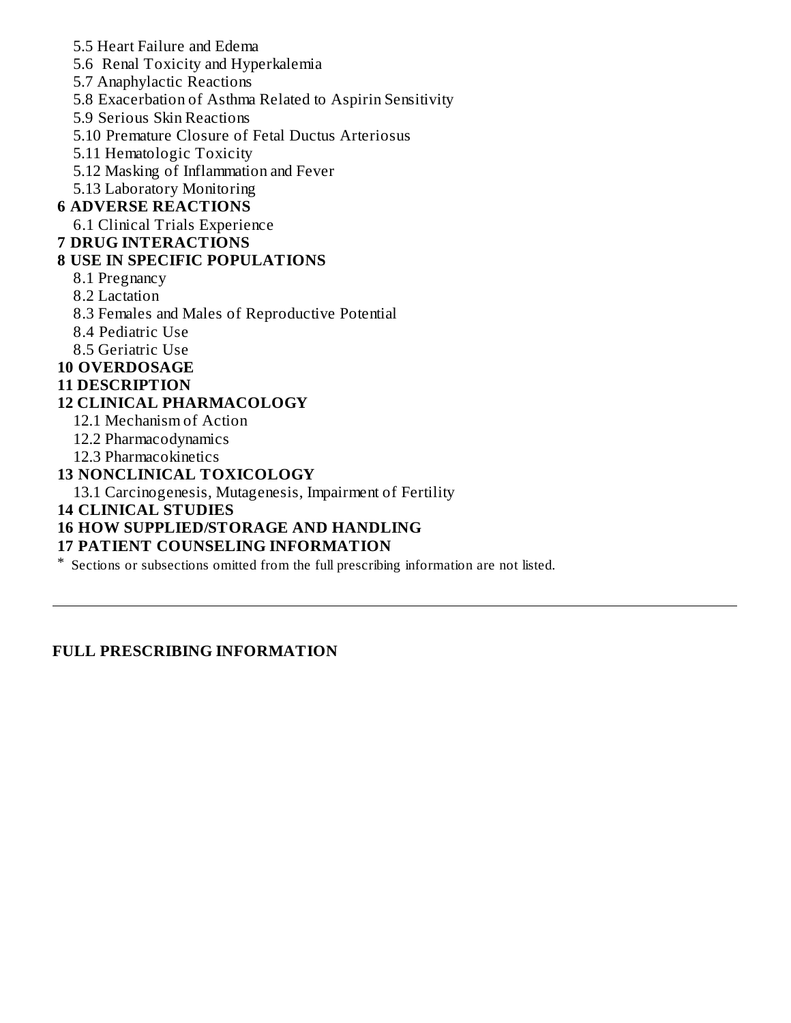- 5.5 Heart Failure and Edema
- 5.6 Renal Toxicity and Hyperkalemia
- 5.7 Anaphylactic Reactions
- 5.8 Exacerbation of Asthma Related to Aspirin Sensitivity
- 5.9 Serious Skin Reactions
- 5.10 Premature Closure of Fetal Ductus Arteriosus
- 5.11 Hematologic Toxicity
- 5.12 Masking of Inflammation and Fever
- 5.13 Laboratory Monitoring

### **6 ADVERSE REACTIONS**

6.1 Clinical Trials Experience

#### **7 DRUG INTERACTIONS**

#### **8 USE IN SPECIFIC POPULATIONS**

- 8.1 Pregnancy
- 8.2 Lactation
- 8.3 Females and Males of Reproductive Potential
- 8.4 Pediatric Use
- 8.5 Geriatric Use

## **10 OVERDOSAGE**

#### **11 DESCRIPTION**

#### **12 CLINICAL PHARMACOLOGY**

- 12.1 Mechanism of Action
- 12.2 Pharmacodynamics
- 12.3 Pharmacokinetics

#### **13 NONCLINICAL TOXICOLOGY**

13.1 Carcinogenesis, Mutagenesis, Impairment of Fertility

**14 CLINICAL STUDIES**

## **16 HOW SUPPLIED/STORAGE AND HANDLING**

### **17 PATIENT COUNSELING INFORMATION**

\* Sections or subsections omitted from the full prescribing information are not listed.

## **FULL PRESCRIBING INFORMATION**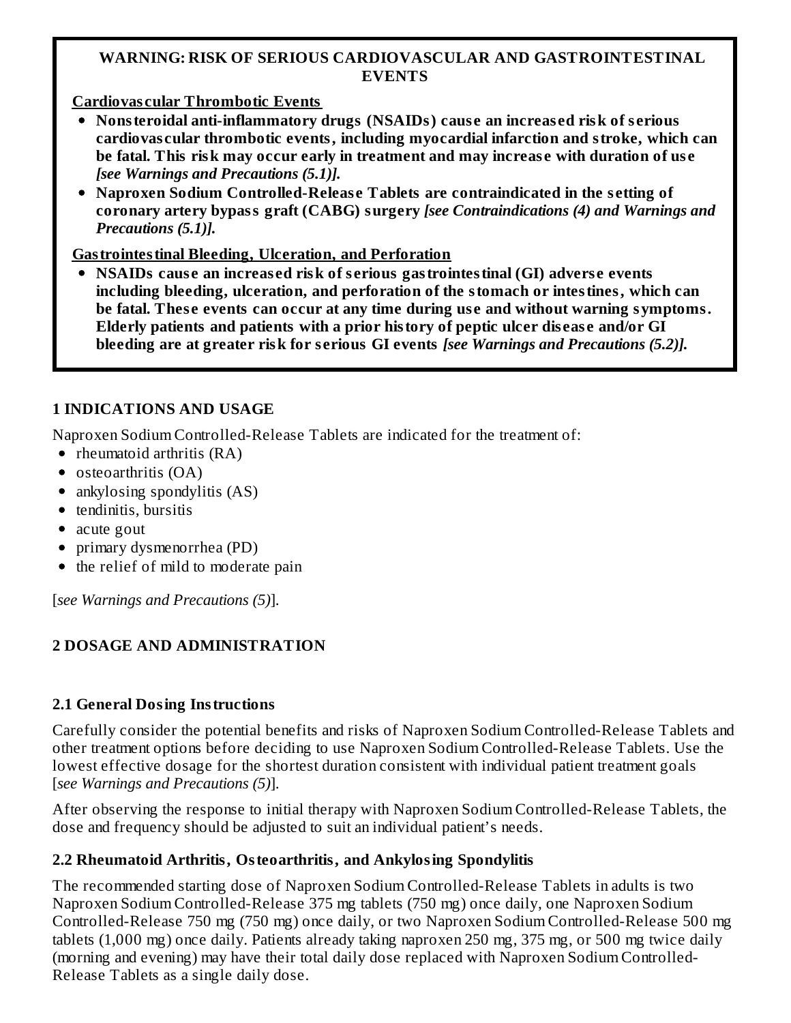## **WARNING: RISK OF SERIOUS CARDIOVASCULAR AND GASTROINTESTINAL EVENTS**

### **Cardiovas cular Thrombotic Events**

- **Nonsteroidal anti-inflammatory drugs (NSAIDs) caus e an increas ed risk of s erious cardiovas cular thrombotic events, including myocardial infarction and stroke, which can be fatal. This risk may occur early in treatment and may increas e with duration of us e** *[see Warnings and Precautions (5.1)].*
- **Naproxen Sodium Controlled-Releas e Tablets are contraindicated in the s etting of coronary artery bypass graft (CABG) surgery** *[see Contraindications (4) and Warnings and Precautions (5.1)].*

#### **Gastrointestinal Bleeding, Ulceration, and Perforation**

**NSAIDs caus e an increas ed risk of s erious gastrointestinal (GI) advers e events including bleeding, ulceration, and perforation of the stomach or intestines, which can be fatal. Thes e events can occur at any time during us e and without warning symptoms. Elderly patients and patients with a prior history of peptic ulcer dis eas e and/or GI bleeding are at greater risk for s erious GI events** *[see Warnings and Precautions (5.2)].*

#### **1 INDICATIONS AND USAGE**

Naproxen Sodium Controlled-Release Tablets are indicated for the treatment of:

- rheumatoid arthritis  $(RA)$
- $\bullet$  osteoarthritis  $(OA)$
- ankylosing spondylitis (AS)
- tendinitis, bursitis
- acute gout
- primary dysmenorrhea (PD)
- the relief of mild to moderate pain  $\bullet$

[*see Warnings and Precautions (5)*].

## **2 DOSAGE AND ADMINISTRATION**

## **2.1 General Dosing Instructions**

Carefully consider the potential benefits and risks of Naproxen Sodium Controlled-Release Tablets and other treatment options before deciding to use Naproxen Sodium Controlled-Release Tablets. Use the lowest effective dosage for the shortest duration consistent with individual patient treatment goals [*see Warnings and Precautions (5)*].

After observing the response to initial therapy with Naproxen Sodium Controlled-Release Tablets, the dose and frequency should be adjusted to suit an individual patient's needs.

#### **2.2 Rheumatoid Arthritis, Osteoarthritis, and Ankylosing Spondylitis**

The recommended starting dose of Naproxen Sodium Controlled-Release Tablets in adults is two Naproxen Sodium Controlled-Release 375 mg tablets (750 mg) once daily, one Naproxen Sodium Controlled-Release 750 mg (750 mg) once daily, or two Naproxen Sodium Controlled-Release 500 mg tablets (1,000 mg) once daily. Patients already taking naproxen 250 mg, 375 mg, or 500 mg twice daily (morning and evening) may have their total daily dose replaced with Naproxen Sodium Controlled-Release Tablets as a single daily dose.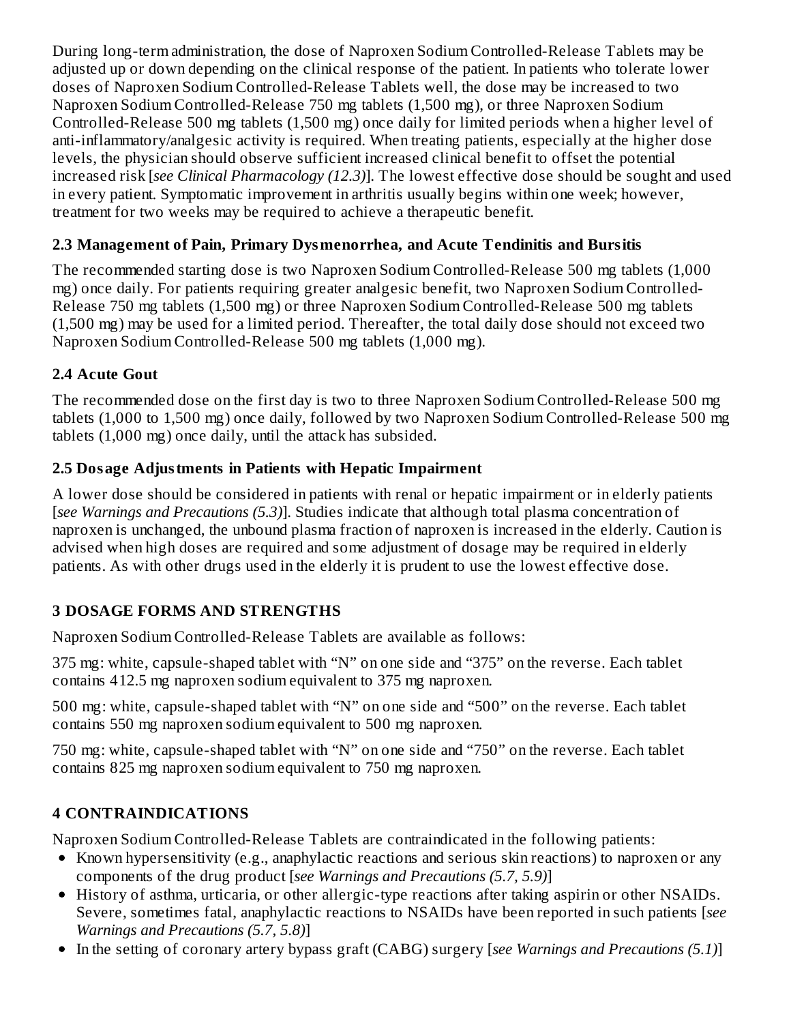During long-term administration, the dose of Naproxen Sodium Controlled-Release Tablets may be adjusted up or down depending on the clinical response of the patient. In patients who tolerate lower doses of Naproxen Sodium Controlled-Release Tablets well, the dose may be increased to two Naproxen Sodium Controlled-Release 750 mg tablets (1,500 mg), or three Naproxen Sodium Controlled-Release 500 mg tablets (1,500 mg) once daily for limited periods when a higher level of anti-inflammatory/analgesic activity is required. When treating patients, especially at the higher dose levels, the physician should observe sufficient increased clinical benefit to offset the potential increased risk [*see Clinical Pharmacology (12.3)*]. The lowest effective dose should be sought and used in every patient. Symptomatic improvement in arthritis usually begins within one week; however, treatment for two weeks may be required to achieve a therapeutic benefit.

## **2.3 Management of Pain, Primary Dysmenorrhea, and Acute Tendinitis and Bursitis**

The recommended starting dose is two Naproxen Sodium Controlled-Release 500 mg tablets (1,000 mg) once daily. For patients requiring greater analgesic benefit, two Naproxen Sodium Controlled-Release 750 mg tablets (1,500 mg) or three Naproxen Sodium Controlled-Release 500 mg tablets (1,500 mg) may be used for a limited period. Thereafter, the total daily dose should not exceed two Naproxen Sodium Controlled-Release 500 mg tablets (1,000 mg).

## **2.4 Acute Gout**

The recommended dose on the first day is two to three Naproxen Sodium Controlled-Release 500 mg tablets (1,000 to 1,500 mg) once daily, followed by two Naproxen Sodium Controlled-Release 500 mg tablets (1,000 mg) once daily, until the attack has subsided.

## **2.5 Dosage Adjustments in Patients with Hepatic Impairment**

A lower dose should be considered in patients with renal or hepatic impairment or in elderly patients [*see Warnings and Precautions (5.3)*]. Studies indicate that although total plasma concentration of naproxen is unchanged, the unbound plasma fraction of naproxen is increased in the elderly. Caution is advised when high doses are required and some adjustment of dosage may be required in elderly patients. As with other drugs used in the elderly it is prudent to use the lowest effective dose.

## **3 DOSAGE FORMS AND STRENGTHS**

Naproxen Sodium Controlled-Release Tablets are available as follows:

375 mg: white, capsule-shaped tablet with "N" on one side and "375" on the reverse. Each tablet contains 412.5 mg naproxen sodium equivalent to 375 mg naproxen.

500 mg: white, capsule-shaped tablet with "N" on one side and "500" on the reverse. Each tablet contains 550 mg naproxen sodium equivalent to 500 mg naproxen.

750 mg: white, capsule-shaped tablet with "N" on one side and "750" on the reverse. Each tablet contains 825 mg naproxen sodium equivalent to 750 mg naproxen.

## **4 CONTRAINDICATIONS**

Naproxen Sodium Controlled-Release Tablets are contraindicated in the following patients:

- Known hypersensitivity (e.g., anaphylactic reactions and serious skin reactions) to naproxen or any components of the drug product [*see Warnings and Precautions (5.7, 5.9)*]
- History of asthma, urticaria, or other allergic-type reactions after taking aspirin or other NSAIDs. Severe, sometimes fatal, anaphylactic reactions to NSAIDs have been reported in such patients [*see Warnings and Precautions (5.7, 5.8)*]
- In the setting of coronary artery bypass graft (CABG) surgery [*see Warnings and Precautions (5.1)*]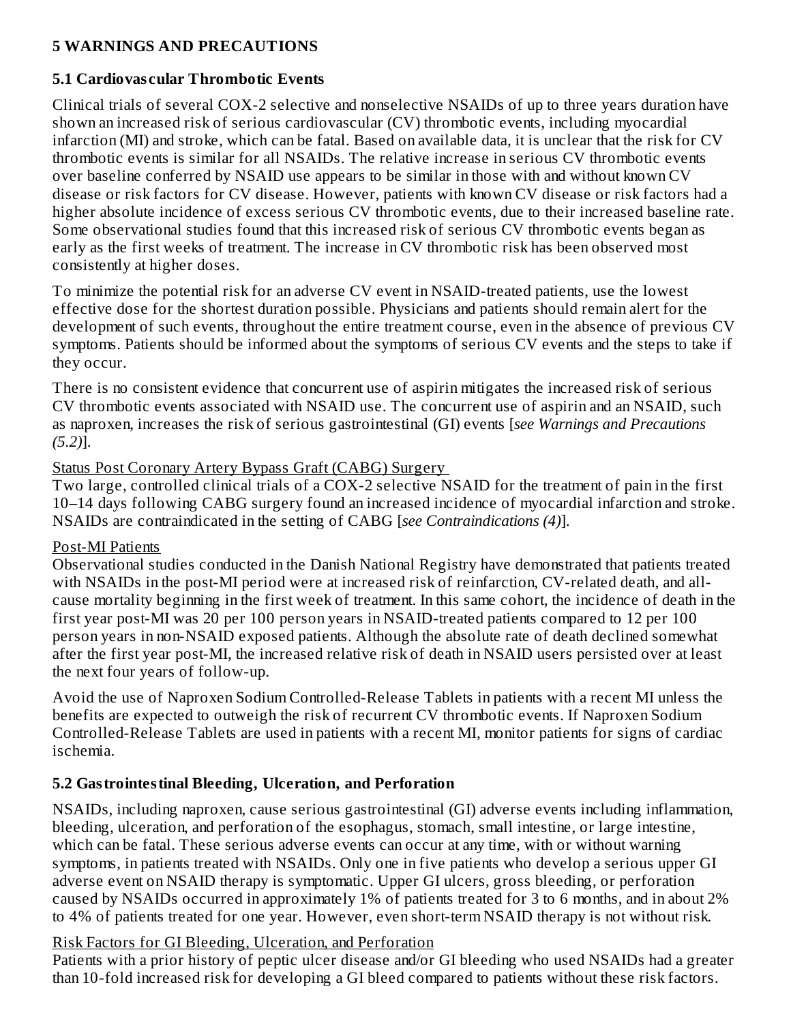## **5 WARNINGS AND PRECAUTIONS**

## **5.1 Cardiovas cular Thrombotic Events**

Clinical trials of several COX-2 selective and nonselective NSAIDs of up to three years duration have shown an increased risk of serious cardiovascular (CV) thrombotic events, including myocardial infarction (MI) and stroke, which can be fatal. Based on available data, it is unclear that the risk for CV thrombotic events is similar for all NSAIDs. The relative increase in serious CV thrombotic events over baseline conferred by NSAID use appears to be similar in those with and without known CV disease or risk factors for CV disease. However, patients with known CV disease or risk factors had a higher absolute incidence of excess serious CV thrombotic events, due to their increased baseline rate. Some observational studies found that this increased risk of serious CV thrombotic events began as early as the first weeks of treatment. The increase in CV thrombotic risk has been observed most consistently at higher doses.

To minimize the potential risk for an adverse CV event in NSAID-treated patients, use the lowest effective dose for the shortest duration possible. Physicians and patients should remain alert for the development of such events, throughout the entire treatment course, even in the absence of previous CV symptoms. Patients should be informed about the symptoms of serious CV events and the steps to take if they occur.

There is no consistent evidence that concurrent use of aspirin mitigates the increased risk of serious CV thrombotic events associated with NSAID use. The concurrent use of aspirin and an NSAID, such as naproxen, increases the risk of serious gastrointestinal (GI) events [*see Warnings and Precautions (5.2)*].

## Status Post Coronary Artery Bypass Graft (CABG) Surgery

Two large, controlled clinical trials of a COX-2 selective NSAID for the treatment of pain in the first 10–14 days following CABG surgery found an increased incidence of myocardial infarction and stroke. NSAIDs are contraindicated in the setting of CABG [*see Contraindications (4)*].

## Post-MI Patients

Observational studies conducted in the Danish National Registry have demonstrated that patients treated with NSAIDs in the post-MI period were at increased risk of reinfarction, CV-related death, and allcause mortality beginning in the first week of treatment. In this same cohort, the incidence of death in the first year post-MI was 20 per 100 person years in NSAID-treated patients compared to 12 per 100 person years in non-NSAID exposed patients. Although the absolute rate of death declined somewhat after the first year post-MI, the increased relative risk of death in NSAID users persisted over at least the next four years of follow-up.

Avoid the use of Naproxen Sodium Controlled-Release Tablets in patients with a recent MI unless the benefits are expected to outweigh the risk of recurrent CV thrombotic events. If Naproxen Sodium Controlled-Release Tablets are used in patients with a recent MI, monitor patients for signs of cardiac ischemia.

## **5.2 Gastrointestinal Bleeding, Ulceration, and Perforation**

NSAIDs, including naproxen, cause serious gastrointestinal (GI) adverse events including inflammation, bleeding, ulceration, and perforation of the esophagus, stomach, small intestine, or large intestine, which can be fatal. These serious adverse events can occur at any time, with or without warning symptoms, in patients treated with NSAIDs. Only one in five patients who develop a serious upper GI adverse event on NSAID therapy is symptomatic. Upper GI ulcers, gross bleeding, or perforation caused by NSAIDs occurred in approximately 1% of patients treated for 3 to 6 months, and in about 2% to 4% of patients treated for one year. However, even short-term NSAID therapy is not without risk.

## Risk Factors for GI Bleeding, Ulceration, and Perforation

Patients with a prior history of peptic ulcer disease and/or GI bleeding who used NSAIDs had a greater than 10-fold increased risk for developing a GI bleed compared to patients without these risk factors.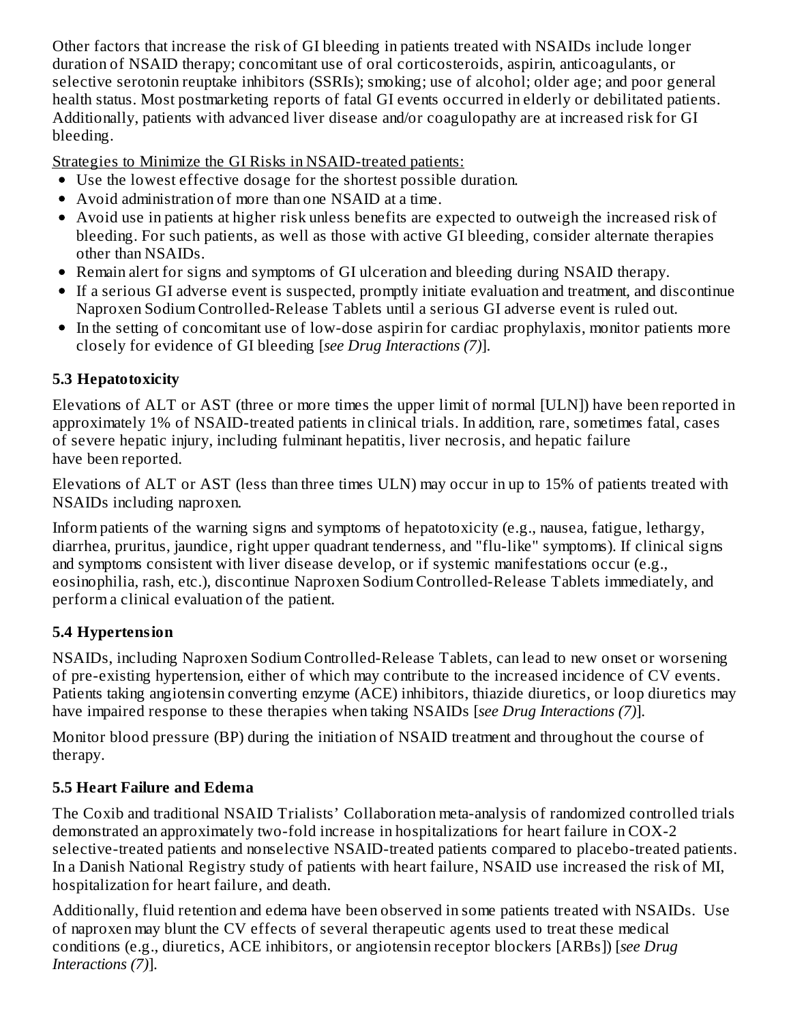Other factors that increase the risk of GI bleeding in patients treated with NSAIDs include longer duration of NSAID therapy; concomitant use of oral corticosteroids, aspirin, anticoagulants, or selective serotonin reuptake inhibitors (SSRIs); smoking; use of alcohol; older age; and poor general health status. Most postmarketing reports of fatal GI events occurred in elderly or debilitated patients. Additionally, patients with advanced liver disease and/or coagulopathy are at increased risk for GI bleeding.

Strategies to Minimize the GI Risks in NSAID-treated patients:

- Use the lowest effective dosage for the shortest possible duration.
- Avoid administration of more than one NSAID at a time.
- Avoid use in patients at higher risk unless benefits are expected to outweigh the increased risk of bleeding. For such patients, as well as those with active GI bleeding, consider alternate therapies other than NSAIDs.
- Remain alert for signs and symptoms of GI ulceration and bleeding during NSAID therapy.
- If a serious GI adverse event is suspected, promptly initiate evaluation and treatment, and discontinue Naproxen Sodium Controlled-Release Tablets until a serious GI adverse event is ruled out.
- In the setting of concomitant use of low-dose aspirin for cardiac prophylaxis, monitor patients more closely for evidence of GI bleeding [*see Drug Interactions (7)*].

## **5.3 Hepatotoxicity**

Elevations of ALT or AST (three or more times the upper limit of normal [ULN]) have been reported in approximately 1% of NSAID-treated patients in clinical trials. In addition, rare, sometimes fatal, cases of severe hepatic injury, including fulminant hepatitis, liver necrosis, and hepatic failure have been reported.

Elevations of ALT or AST (less than three times ULN) may occur in up to 15% of patients treated with NSAIDs including naproxen.

Inform patients of the warning signs and symptoms of hepatotoxicity (e.g., nausea, fatigue, lethargy, diarrhea, pruritus, jaundice, right upper quadrant tenderness, and "flu-like" symptoms). If clinical signs and symptoms consistent with liver disease develop, or if systemic manifestations occur (e.g., eosinophilia, rash, etc.), discontinue Naproxen Sodium Controlled-Release Tablets immediately, and perform a clinical evaluation of the patient.

## **5.4 Hypertension**

NSAIDs, including Naproxen Sodium Controlled-Release Tablets, can lead to new onset or worsening of pre-existing hypertension, either of which may contribute to the increased incidence of CV events. Patients taking angiotensin converting enzyme (ACE) inhibitors, thiazide diuretics, or loop diuretics may have impaired response to these therapies when taking NSAIDs [*see Drug Interactions (7)*].

Monitor blood pressure (BP) during the initiation of NSAID treatment and throughout the course of therapy.

## **5.5 Heart Failure and Edema**

The Coxib and traditional NSAID Trialists' Collaboration meta-analysis of randomized controlled trials demonstrated an approximately two-fold increase in hospitalizations for heart failure in COX-2 selective-treated patients and nonselective NSAID-treated patients compared to placebo-treated patients. In a Danish National Registry study of patients with heart failure, NSAID use increased the risk of MI, hospitalization for heart failure, and death.

Additionally, fluid retention and edema have been observed in some patients treated with NSAIDs. Use of naproxen may blunt the CV effects of several therapeutic agents used to treat these medical conditions (e.g., diuretics, ACE inhibitors, or angiotensin receptor blockers [ARBs]) [*see Drug Interactions (7)*].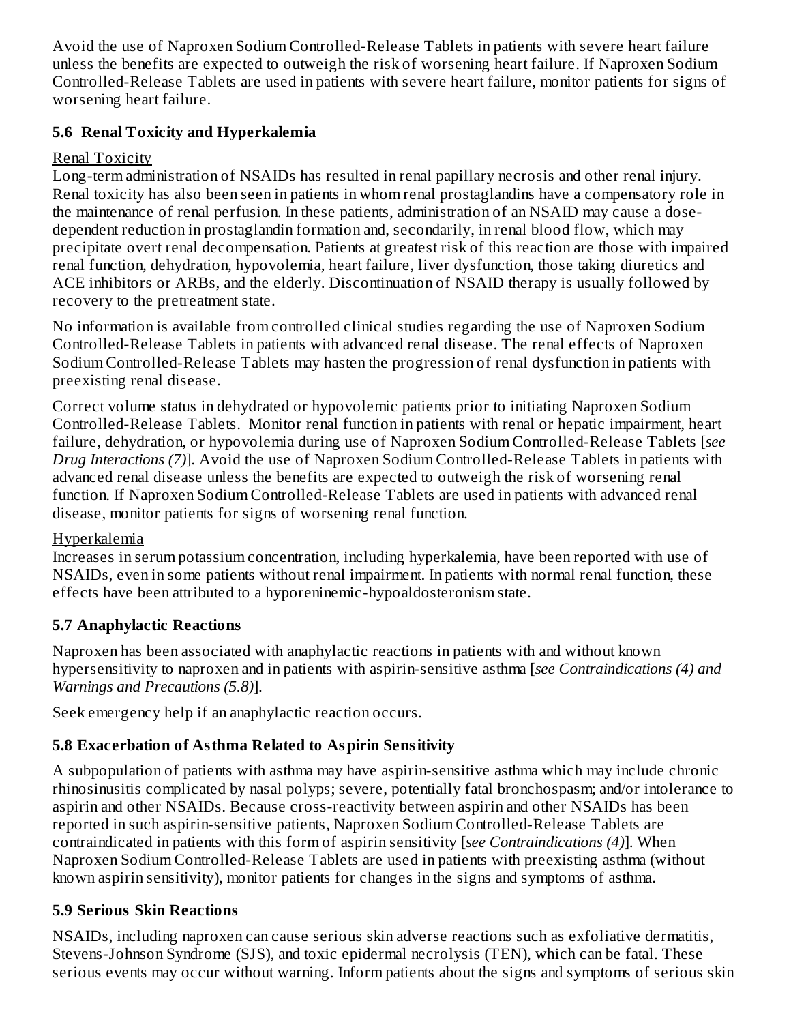Avoid the use of Naproxen Sodium Controlled-Release Tablets in patients with severe heart failure unless the benefits are expected to outweigh the risk of worsening heart failure. If Naproxen Sodium Controlled-Release Tablets are used in patients with severe heart failure, monitor patients for signs of worsening heart failure.

## **5.6 Renal Toxicity and Hyperkalemia**

## Renal Toxicity

Long-term administration of NSAIDs has resulted in renal papillary necrosis and other renal injury. Renal toxicity has also been seen in patients in whom renal prostaglandins have a compensatory role in the maintenance of renal perfusion. In these patients, administration of an NSAID may cause a dosedependent reduction in prostaglandin formation and, secondarily, in renal blood flow, which may precipitate overt renal decompensation. Patients at greatest risk of this reaction are those with impaired renal function, dehydration, hypovolemia, heart failure, liver dysfunction, those taking diuretics and ACE inhibitors or ARBs, and the elderly. Discontinuation of NSAID therapy is usually followed by recovery to the pretreatment state.

No information is available from controlled clinical studies regarding the use of Naproxen Sodium Controlled-Release Tablets in patients with advanced renal disease. The renal effects of Naproxen Sodium Controlled-Release Tablets may hasten the progression of renal dysfunction in patients with preexisting renal disease.

Correct volume status in dehydrated or hypovolemic patients prior to initiating Naproxen Sodium Controlled-Release Tablets. Monitor renal function in patients with renal or hepatic impairment, heart failure, dehydration, or hypovolemia during use of Naproxen Sodium Controlled-Release Tablets [*see Drug Interactions (7)*]. Avoid the use of Naproxen Sodium Controlled-Release Tablets in patients with advanced renal disease unless the benefits are expected to outweigh the risk of worsening renal function. If Naproxen Sodium Controlled-Release Tablets are used in patients with advanced renal disease, monitor patients for signs of worsening renal function.

## Hyperkalemia

Increases in serum potassium concentration, including hyperkalemia, have been reported with use of NSAIDs, even in some patients without renal impairment. In patients with normal renal function, these effects have been attributed to a hyporeninemic-hypoaldosteronism state.

## **5.7 Anaphylactic Reactions**

Naproxen has been associated with anaphylactic reactions in patients with and without known hypersensitivity to naproxen and in patients with aspirin-sensitive asthma [*see Contraindications (4) and Warnings and Precautions (5.8)*].

Seek emergency help if an anaphylactic reaction occurs.

# **5.8 Exacerbation of Asthma Related to Aspirin Sensitivity**

A subpopulation of patients with asthma may have aspirin-sensitive asthma which may include chronic rhinosinusitis complicated by nasal polyps; severe, potentially fatal bronchospasm; and/or intolerance to aspirin and other NSAIDs. Because cross-reactivity between aspirin and other NSAIDs has been reported in such aspirin-sensitive patients, Naproxen Sodium Controlled-Release Tablets are contraindicated in patients with this form of aspirin sensitivity [*see Contraindications (4)*]. When Naproxen Sodium Controlled-Release Tablets are used in patients with preexisting asthma (without known aspirin sensitivity), monitor patients for changes in the signs and symptoms of asthma.

## **5.9 Serious Skin Reactions**

NSAIDs, including naproxen can cause serious skin adverse reactions such as exfoliative dermatitis, Stevens-Johnson Syndrome (SJS), and toxic epidermal necrolysis (TEN), which can be fatal. These serious events may occur without warning. Inform patients about the signs and symptoms of serious skin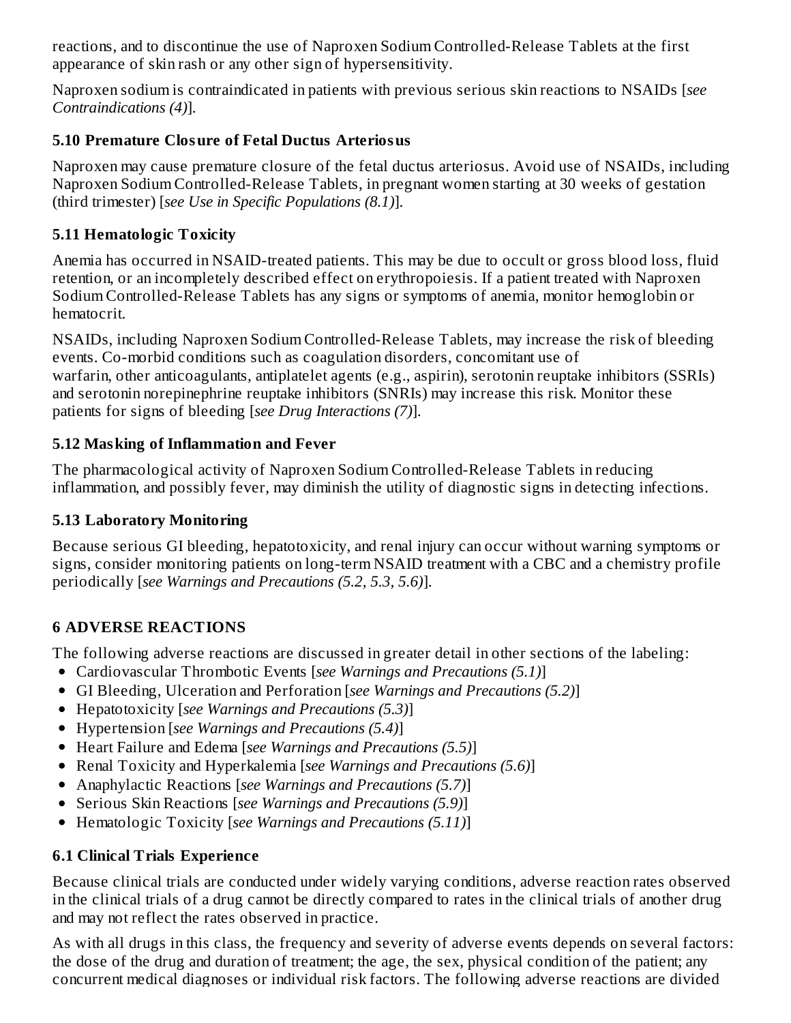reactions, and to discontinue the use of Naproxen Sodium Controlled-Release Tablets at the first appearance of skin rash or any other sign of hypersensitivity.

Naproxen sodium is contraindicated in patients with previous serious skin reactions to NSAIDs [*see Contraindications (4)*].

## **5.10 Premature Closure of Fetal Ductus Arteriosus**

Naproxen may cause premature closure of the fetal ductus arteriosus. Avoid use of NSAIDs, including Naproxen Sodium Controlled-Release Tablets, in pregnant women starting at 30 weeks of gestation (third trimester) [*see Use in Specific Populations (8.1)*].

## **5.11 Hematologic Toxicity**

Anemia has occurred in NSAID-treated patients. This may be due to occult or gross blood loss, fluid retention, or an incompletely described effect on erythropoiesis. If a patient treated with Naproxen Sodium Controlled-Release Tablets has any signs or symptoms of anemia, monitor hemoglobin or hematocrit.

NSAIDs, including Naproxen Sodium Controlled-Release Tablets, may increase the risk of bleeding events. Co-morbid conditions such as coagulation disorders, concomitant use of warfarin, other anticoagulants, antiplatelet agents (e.g., aspirin), serotonin reuptake inhibitors (SSRIs) and serotonin norepinephrine reuptake inhibitors (SNRIs) may increase this risk. Monitor these patients for signs of bleeding [*see Drug Interactions (7)*].

## **5.12 Masking of Inflammation and Fever**

The pharmacological activity of Naproxen Sodium Controlled-Release Tablets in reducing inflammation, and possibly fever, may diminish the utility of diagnostic signs in detecting infections.

## **5.13 Laboratory Monitoring**

Because serious GI bleeding, hepatotoxicity, and renal injury can occur without warning symptoms or signs, consider monitoring patients on long-term NSAID treatment with a CBC and a chemistry profile periodically [*see Warnings and Precautions (5.2, 5.3, 5.6)*].

## **6 ADVERSE REACTIONS**

The following adverse reactions are discussed in greater detail in other sections of the labeling:

- Cardiovascular Thrombotic Events [*see Warnings and Precautions (5.1)*]
- GI Bleeding, Ulceration and Perforation [*see Warnings and Precautions (5.2)*]
- Hepatotoxicity [*see Warnings and Precautions (5.3)*]
- Hypertension [*see Warnings and Precautions (5.4)*]
- Heart Failure and Edema [*see Warnings and Precautions (5.5)*]
- Renal Toxicity and Hyperkalemia [*see Warnings and Precautions (5.6)*]
- Anaphylactic Reactions [*see Warnings and Precautions (5.7)*]
- Serious Skin Reactions [*see Warnings and Precautions (5.9)*]
- Hematologic Toxicity [*see Warnings and Precautions (5.11)*]

## **6.1 Clinical Trials Experience**

Because clinical trials are conducted under widely varying conditions, adverse reaction rates observed in the clinical trials of a drug cannot be directly compared to rates in the clinical trials of another drug and may not reflect the rates observed in practice.

As with all drugs in this class, the frequency and severity of adverse events depends on several factors: the dose of the drug and duration of treatment; the age, the sex, physical condition of the patient; any concurrent medical diagnoses or individual risk factors. The following adverse reactions are divided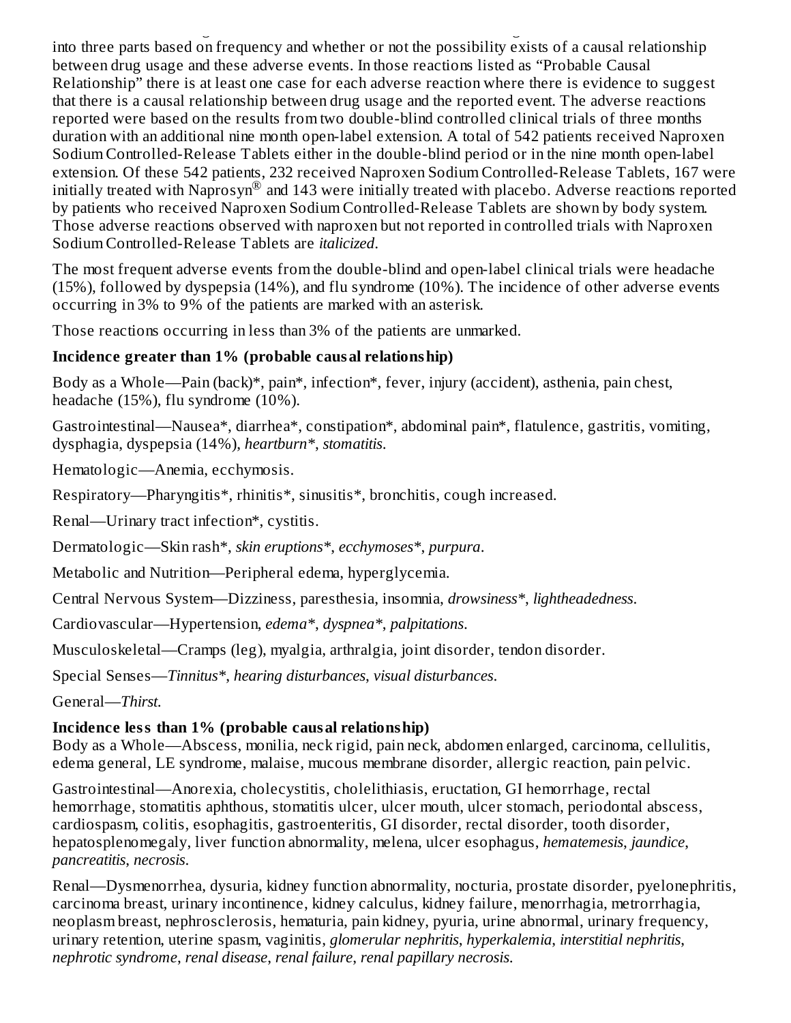concurrent medical diagnoses or individual risk factors. The following adverse reactions are divided into three parts based on frequency and whether or not the possibility exists of a causal relationship between drug usage and these adverse events. In those reactions listed as "Probable Causal Relationship" there is at least one case for each adverse reaction where there is evidence to suggest that there is a causal relationship between drug usage and the reported event. The adverse reactions reported were based on the results from two double-blind controlled clinical trials of three months duration with an additional nine month open-label extension. A total of 542 patients received Naproxen Sodium Controlled-Release Tablets either in the double-blind period or in the nine month open-label extension. Of these 542 patients, 232 received Naproxen Sodium Controlled-Release Tablets, 167 were initially treated with Naprosyn $^{\circledR}$  and 143 were initially treated with placebo. Adverse reactions reported by patients who received Naproxen Sodium Controlled-Release Tablets are shown by body system. Those adverse reactions observed with naproxen but not reported in controlled trials with Naproxen Sodium Controlled-Release Tablets are *italicized*.

The most frequent adverse events from the double-blind and open-label clinical trials were headache (15%), followed by dyspepsia (14%), and flu syndrome (10%). The incidence of other adverse events occurring in 3% to 9% of the patients are marked with an asterisk.

Those reactions occurring in less than 3% of the patients are unmarked.

## **Incidence greater than 1% (probable causal relationship)**

Body as a Whole—Pain (back)\*, pain\*, infection\*, fever, injury (accident), asthenia, pain chest, headache (15%), flu syndrome (10%).

Gastrointestinal—Nausea\*, diarrhea\*, constipation\*, abdominal pain\*, flatulence, gastritis, vomiting, dysphagia, dyspepsia (14%), *heartburn\**, *stomatitis*.

Hematologic—Anemia, ecchymosis.

Respiratory—Pharyngitis\*, rhinitis\*, sinusitis\*, bronchitis, cough increased.

Renal—Urinary tract infection\*, cystitis.

Dermatologic—Skin rash\*, *skin eruptions\**, *ecchymoses\**, *purpura*.

Metabolic and Nutrition—Peripheral edema, hyperglycemia.

Central Nervous System—Dizziness, paresthesia, insomnia, *drowsiness\**, *lightheadedness*.

Cardiovascular—Hypertension, *edema\**, *dyspnea\**, *palpitations*.

Musculoskeletal—Cramps (leg), myalgia, arthralgia, joint disorder, tendon disorder.

Special Senses—*Tinnitus\**, *hearing disturbances*, *visual disturbances*.

General—*Thirst*.

## **Incidence less than 1% (probable causal relationship)**

Body as a Whole—Abscess, monilia, neck rigid, pain neck, abdomen enlarged, carcinoma, cellulitis, edema general, LE syndrome, malaise, mucous membrane disorder, allergic reaction, pain pelvic.

Gastrointestinal—Anorexia, cholecystitis, cholelithiasis, eructation, GI hemorrhage, rectal hemorrhage, stomatitis aphthous, stomatitis ulcer, ulcer mouth, ulcer stomach, periodontal abscess, cardiospasm, colitis, esophagitis, gastroenteritis, GI disorder, rectal disorder, tooth disorder, hepatosplenomegaly, liver function abnormality, melena, ulcer esophagus, *hematemesis*, *jaundice*, *pancreatitis*, *necrosis*.

Renal—Dysmenorrhea, dysuria, kidney function abnormality, nocturia, prostate disorder, pyelonephritis, carcinoma breast, urinary incontinence, kidney calculus, kidney failure, menorrhagia, metrorrhagia, neoplasm breast, nephrosclerosis, hematuria, pain kidney, pyuria, urine abnormal, urinary frequency, urinary retention, uterine spasm, vaginitis, *glomerular nephritis*, *hyperkalemia*, *interstitial nephritis*, *nephrotic syndrome*, *renal disease*, *renal failure*, *renal papillary necrosis*.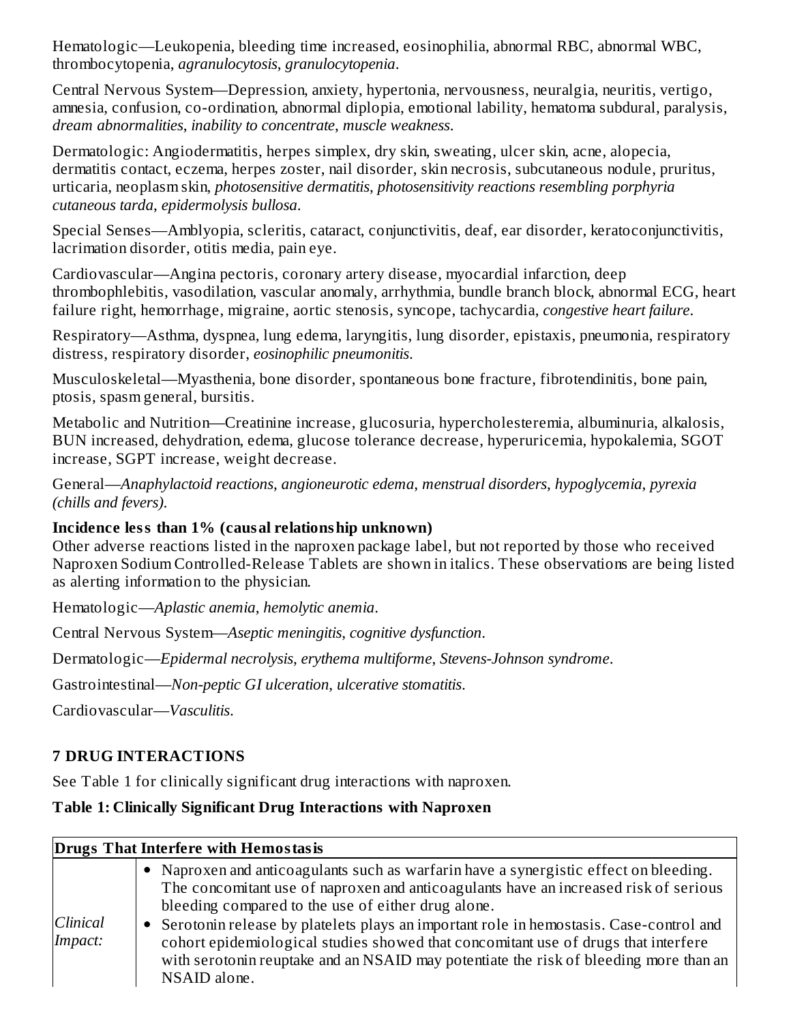Hematologic—Leukopenia, bleeding time increased, eosinophilia, abnormal RBC, abnormal WBC, thrombocytopenia, *agranulocytosis*, *granulocytopenia*.

Central Nervous System—Depression, anxiety, hypertonia, nervousness, neuralgia, neuritis, vertigo, amnesia, confusion, co-ordination, abnormal diplopia, emotional lability, hematoma subdural, paralysis, *dream abnormalities*, *inability to concentrate*, *muscle weakness*.

Dermatologic: Angiodermatitis, herpes simplex, dry skin, sweating, ulcer skin, acne, alopecia, dermatitis contact, eczema, herpes zoster, nail disorder, skin necrosis, subcutaneous nodule, pruritus, urticaria, neoplasm skin, *photosensitive dermatitis*, *photosensitivity reactions resembling porphyria cutaneous tarda*, *epidermolysis bullosa*.

Special Senses—Amblyopia, scleritis, cataract, conjunctivitis, deaf, ear disorder, keratoconjunctivitis, lacrimation disorder, otitis media, pain eye.

Cardiovascular—Angina pectoris, coronary artery disease, myocardial infarction, deep thrombophlebitis, vasodilation, vascular anomaly, arrhythmia, bundle branch block, abnormal ECG, heart failure right, hemorrhage, migraine, aortic stenosis, syncope, tachycardia, *congestive heart failure*.

Respiratory—Asthma, dyspnea, lung edema, laryngitis, lung disorder, epistaxis, pneumonia, respiratory distress, respiratory disorder, *eosinophilic pneumonitis*.

Musculoskeletal—Myasthenia, bone disorder, spontaneous bone fracture, fibrotendinitis, bone pain, ptosis, spasm general, bursitis.

Metabolic and Nutrition—Creatinine increase, glucosuria, hypercholesteremia, albuminuria, alkalosis, BUN increased, dehydration, edema, glucose tolerance decrease, hyperuricemia, hypokalemia, SGOT increase, SGPT increase, weight decrease.

General—*Anaphylactoid reactions*, *angioneurotic edema*, *menstrual disorders*, *hypoglycemia*, *pyrexia (chills and fevers)*.

## **Incidence less than 1% (causal relationship unknown)**

Other adverse reactions listed in the naproxen package label, but not reported by those who received Naproxen Sodium Controlled-Release Tablets are shown in italics. These observations are being listed as alerting information to the physician.

Hematologic—*Aplastic anemia*, *hemolytic anemia*.

Central Nervous System—*Aseptic meningitis*, *cognitive dysfunction*.

Dermatologic—*Epidermal necrolysis*, *erythema multiforme*, *Stevens-Johnson syndrome*.

Gastrointestinal—*Non-peptic GI ulceration*, *ulcerative stomatitis*.

Cardiovascular—*Vasculitis*.

## **7 DRUG INTERACTIONS**

See Table 1 for clinically significant drug interactions with naproxen.

## **Table 1: Clinically Significant Drug Interactions with Naproxen**

| Drugs That Interfere with Hemostasis |  |                                                                                                                                                                                                                                                                                                                                                                                                                                                                                                                              |  |  |  |  |  |
|--------------------------------------|--|------------------------------------------------------------------------------------------------------------------------------------------------------------------------------------------------------------------------------------------------------------------------------------------------------------------------------------------------------------------------------------------------------------------------------------------------------------------------------------------------------------------------------|--|--|--|--|--|
| <b>Clinical</b><br>Impact:           |  | Naproxen and anticoagulants such as warfarin have a synergistic effect on bleeding.<br>The concomitant use of naproxen and anticoagulants have an increased risk of serious<br>bleeding compared to the use of either drug alone.<br>• Serotonin release by platelets plays an important role in hemostasis. Case-control and<br>cohort epidemiological studies showed that concomitant use of drugs that interfere<br>with serotonin reuptake and an NSAID may potentiate the risk of bleeding more than an<br>NSAID alone. |  |  |  |  |  |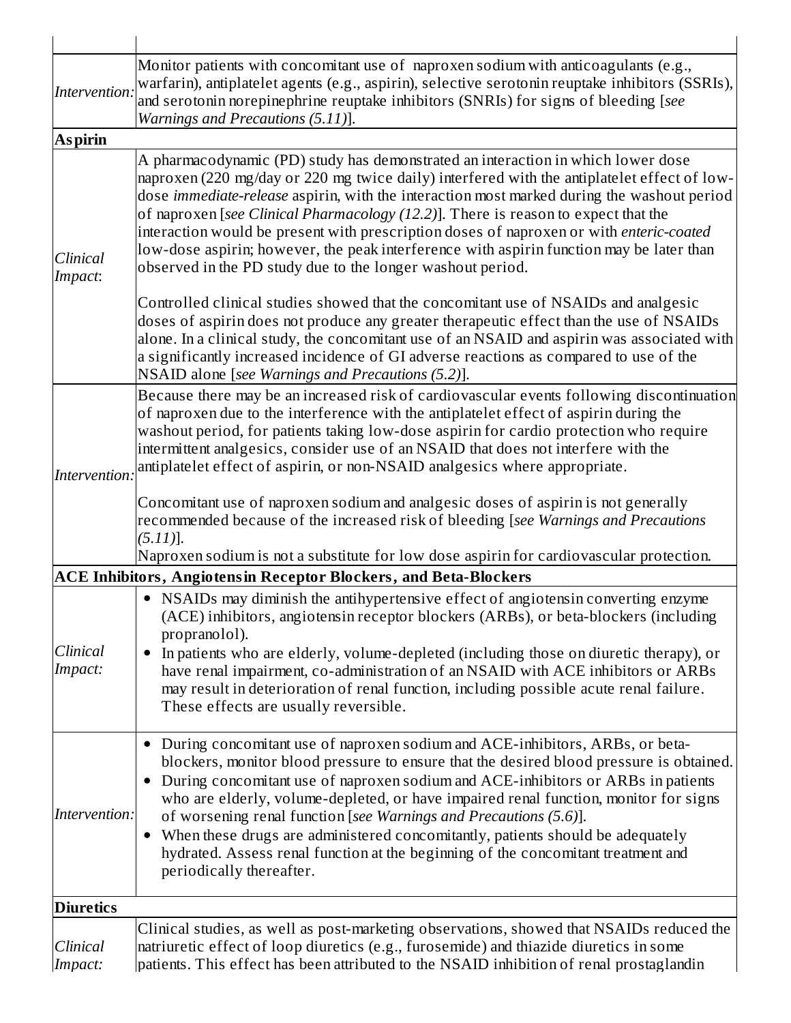| Intervention:       | Monitor patients with concomitant use of naproxen sodium with anticoagulants (e.g.,<br>warfarin), antiplatelet agents (e.g., aspirin), selective serotonin reuptake inhibitors (SSRIs),<br>and serotonin norepinephrine reuptake inhibitors (SNRIs) for signs of bleeding [see<br>Warnings and Precautions (5.11)].                                                                                                                                                                                                                                                                                                                                                                                                                      |
|---------------------|------------------------------------------------------------------------------------------------------------------------------------------------------------------------------------------------------------------------------------------------------------------------------------------------------------------------------------------------------------------------------------------------------------------------------------------------------------------------------------------------------------------------------------------------------------------------------------------------------------------------------------------------------------------------------------------------------------------------------------------|
| <b>Aspirin</b>      |                                                                                                                                                                                                                                                                                                                                                                                                                                                                                                                                                                                                                                                                                                                                          |
| Clinical<br>Impact: | A pharmacodynamic (PD) study has demonstrated an interaction in which lower dose<br>naproxen (220 mg/day or 220 mg twice daily) interfered with the antiplatelet effect of low-<br>dose immediate-release aspirin, with the interaction most marked during the washout period<br>of naproxen [see Clinical Pharmacology (12.2)]. There is reason to expect that the<br>interaction would be present with prescription doses of naproxen or with enteric-coated<br>low-dose aspirin; however, the peak interference with aspirin function may be later than<br>observed in the PD study due to the longer washout period.                                                                                                                 |
|                     | Controlled clinical studies showed that the concomitant use of NSAIDs and analgesic<br>doses of aspirin does not produce any greater therapeutic effect than the use of NSAIDs<br>alone. In a clinical study, the concomitant use of an NSAID and aspirin was associated with<br>a significantly increased incidence of GI adverse reactions as compared to use of the<br>NSAID alone [see Warnings and Precautions (5.2)].                                                                                                                                                                                                                                                                                                              |
| Intervention.       | Because there may be an increased risk of cardiovascular events following discontinuation<br>of naproxen due to the interference with the antiplatelet effect of aspirin during the<br>washout period, for patients taking low-dose aspirin for cardio protection who require<br>intermittent analgesics, consider use of an NSAID that does not interfere with the<br>antiplatelet effect of aspirin, or non-NSAID analgesics where appropriate.<br>Concomitant use of naproxen sodium and analgesic doses of aspirin is not generally<br>recommended because of the increased risk of bleeding [see Warnings and Precautions<br>$(5.11)$ ].<br>Naproxen sodium is not a substitute for low dose aspirin for cardiovascular protection. |
|                     | ACE Inhibitors, Angiotensin Receptor Blockers, and Beta-Blockers                                                                                                                                                                                                                                                                                                                                                                                                                                                                                                                                                                                                                                                                         |
| Clinical<br>Impact: | • NSAIDs may diminish the antihypertensive effect of angiotensin converting enzyme<br>(ACE) inhibitors, angiotensin receptor blockers (ARBs), or beta-blockers (including<br>propranolol).<br>In patients who are elderly, volume-depleted (including those on diuretic therapy), or<br>٠<br>have renal impairment, co-administration of an NSAID with ACE inhibitors or ARBs<br>may result in deterioration of renal function, including possible acute renal failure.<br>These effects are usually reversible.                                                                                                                                                                                                                         |
| Intervention:       | During concomitant use of naproxen sodium and ACE-inhibitors, ARBs, or beta-<br>$\bullet$<br>blockers, monitor blood pressure to ensure that the desired blood pressure is obtained.<br>During concomitant use of naproxen sodium and ACE-inhibitors or ARBs in patients<br>$\bullet$<br>who are elderly, volume-depleted, or have impaired renal function, monitor for signs<br>of worsening renal function [see Warnings and Precautions (5.6)].<br>When these drugs are administered concomitantly, patients should be adequately<br>$\bullet$<br>hydrated. Assess renal function at the beginning of the concomitant treatment and<br>periodically thereafter.                                                                       |
| <b>Diuretics</b>    |                                                                                                                                                                                                                                                                                                                                                                                                                                                                                                                                                                                                                                                                                                                                          |
| Clinical<br>Impact: | Clinical studies, as well as post-marketing observations, showed that NSAIDs reduced the<br>natriuretic effect of loop diuretics (e.g., furosemide) and thiazide diuretics in some<br>patients. This effect has been attributed to the NSAID inhibition of renal prostaglandin                                                                                                                                                                                                                                                                                                                                                                                                                                                           |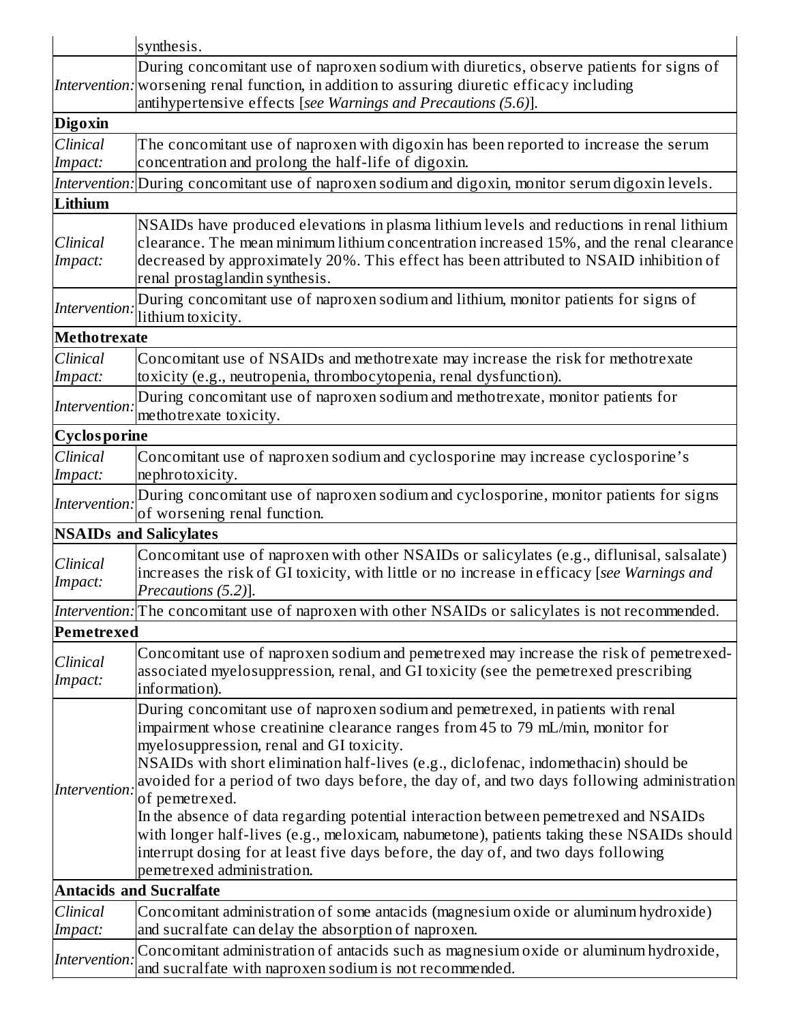|                     | synthesis.                                                                                                                                                                                                                                                                                                                                                                                                                                                                                                                                                                                                                                                                                                                     |
|---------------------|--------------------------------------------------------------------------------------------------------------------------------------------------------------------------------------------------------------------------------------------------------------------------------------------------------------------------------------------------------------------------------------------------------------------------------------------------------------------------------------------------------------------------------------------------------------------------------------------------------------------------------------------------------------------------------------------------------------------------------|
|                     | During concomitant use of naproxen sodium with diuretics, observe patients for signs of<br>Intervention: worsening renal function, in addition to assuring diuretic efficacy including                                                                                                                                                                                                                                                                                                                                                                                                                                                                                                                                         |
|                     | antihypertensive effects [see Warnings and Precautions (5.6)].                                                                                                                                                                                                                                                                                                                                                                                                                                                                                                                                                                                                                                                                 |
| <b>Digoxin</b>      |                                                                                                                                                                                                                                                                                                                                                                                                                                                                                                                                                                                                                                                                                                                                |
| Clinical<br>Impact: | The concomitant use of naproxen with digoxin has been reported to increase the serum<br>concentration and prolong the half-life of digoxin.                                                                                                                                                                                                                                                                                                                                                                                                                                                                                                                                                                                    |
|                     | Intervention: During concomitant use of naproxen sodium and digoxin, monitor serum digoxin levels.                                                                                                                                                                                                                                                                                                                                                                                                                                                                                                                                                                                                                             |
| Lithium             |                                                                                                                                                                                                                                                                                                                                                                                                                                                                                                                                                                                                                                                                                                                                |
| Clinical<br>Impact: | NSAIDs have produced elevations in plasma lithium levels and reductions in renal lithium<br>clearance. The mean minimum lithium concentration increased 15%, and the renal clearance<br>decreased by approximately 20%. This effect has been attributed to NSAID inhibition of<br>renal prostaglandin synthesis.                                                                                                                                                                                                                                                                                                                                                                                                               |
| Intervention:       | During concomitant use of naproxen sodium and lithium, monitor patients for signs of<br>lithium toxicity.                                                                                                                                                                                                                                                                                                                                                                                                                                                                                                                                                                                                                      |
| <b>Methotrexate</b> |                                                                                                                                                                                                                                                                                                                                                                                                                                                                                                                                                                                                                                                                                                                                |
| Clinical<br>Impact: | Concomitant use of NSAIDs and methotrexate may increase the risk for methotrexate<br>toxicity (e.g., neutropenia, thrombocytopenia, renal dysfunction).                                                                                                                                                                                                                                                                                                                                                                                                                                                                                                                                                                        |
| Intervention:       | During concomitant use of naproxen sodium and methotrexate, monitor patients for<br>methotrexate toxicity.                                                                                                                                                                                                                                                                                                                                                                                                                                                                                                                                                                                                                     |
| Cyclosporine        |                                                                                                                                                                                                                                                                                                                                                                                                                                                                                                                                                                                                                                                                                                                                |
| Clinical<br>Impact: | Concomitant use of naproxen sodium and cyclosporine may increase cyclosporine's<br>nephrotoxicity.                                                                                                                                                                                                                                                                                                                                                                                                                                                                                                                                                                                                                             |
| Intervention:       | During concomitant use of naproxen sodium and cyclosporine, monitor patients for signs<br>of worsening renal function.                                                                                                                                                                                                                                                                                                                                                                                                                                                                                                                                                                                                         |
|                     | <b>NSAIDs and Salicylates</b>                                                                                                                                                                                                                                                                                                                                                                                                                                                                                                                                                                                                                                                                                                  |
| Clinical<br>Impact: | Concomitant use of naproxen with other NSAIDs or salicylates (e.g., diflunisal, salsalate)<br>increases the risk of GI toxicity, with little or no increase in efficacy [see Warnings and<br>Precautions (5.2)].                                                                                                                                                                                                                                                                                                                                                                                                                                                                                                               |
|                     | Intervention: The concomitant use of naproxen with other NSAIDs or salicylates is not recommended.                                                                                                                                                                                                                                                                                                                                                                                                                                                                                                                                                                                                                             |
| Pemetrexed          |                                                                                                                                                                                                                                                                                                                                                                                                                                                                                                                                                                                                                                                                                                                                |
| Clinical<br>Impact: | Concomitant use of naproxen sodium and pemetrexed may increase the risk of pemetrexed-<br>associated myelosuppression, renal, and GI toxicity (see the pemetrexed prescribing<br>information).                                                                                                                                                                                                                                                                                                                                                                                                                                                                                                                                 |
| Intervention:       | During concomitant use of naproxen sodium and pemetrexed, in patients with renal<br>impairment whose creatinine clearance ranges from 45 to 79 mL/min, monitor for<br>myelosuppression, renal and GI toxicity.<br>NSAIDs with short elimination half-lives (e.g., diclofenac, indomethacin) should be<br>avoided for a period of two days before, the day of, and two days following administration<br>of pemetrexed.<br>In the absence of data regarding potential interaction between pemetrexed and NSAIDs<br>with longer half-lives (e.g., meloxicam, nabumetone), patients taking these NSAIDs should<br>interrupt dosing for at least five days before, the day of, and two days following<br>pemetrexed administration. |
|                     | <b>Antacids and Sucralfate</b>                                                                                                                                                                                                                                                                                                                                                                                                                                                                                                                                                                                                                                                                                                 |
| Clinical<br>Impact: | Concomitant administration of some antacids (magnesium oxide or aluminum hydroxide)<br>and sucralfate can delay the absorption of naproxen.                                                                                                                                                                                                                                                                                                                                                                                                                                                                                                                                                                                    |
| Intervention:       | Concomitant administration of antacids such as magnesium oxide or aluminum hydroxide,<br>and sucralfate with naproxen sodium is not recommended.                                                                                                                                                                                                                                                                                                                                                                                                                                                                                                                                                                               |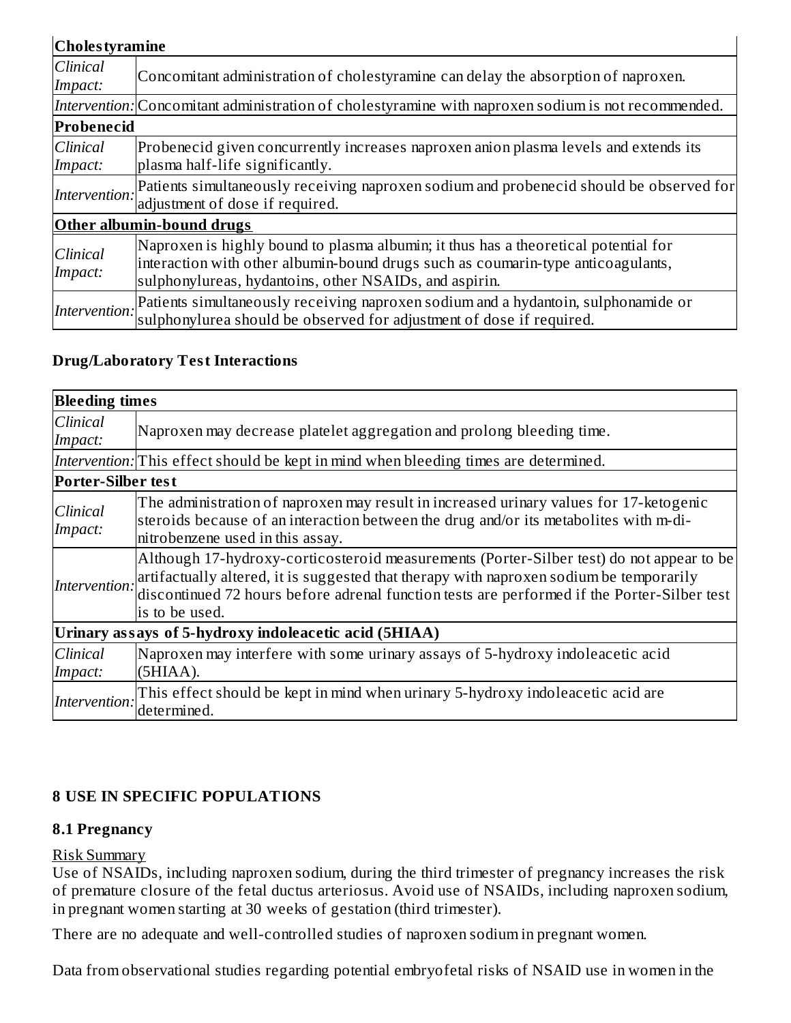## **Cholestyramine**

| <b>Clinical</b><br>Impact: | Concomitant administration of cholestyramine can delay the absorption of naproxen.                                                                                                                                                |
|----------------------------|-----------------------------------------------------------------------------------------------------------------------------------------------------------------------------------------------------------------------------------|
|                            | Intervention: Concomitant administration of cholestyramine with naproxen sodium is not recommended.                                                                                                                               |
| Probenecid                 |                                                                                                                                                                                                                                   |
| Clinical<br>Impact:        | Probenecid given concurrently increases naproxen anion plasma levels and extends its<br>plasma half-life significantly.                                                                                                           |
|                            | Intervention: Patients simultaneously receiving naproxen sodium and probenecid should be observed for<br>adjustment of dose if required.                                                                                          |
|                            | Other albumin-bound drugs                                                                                                                                                                                                         |
| <b>Clinical</b><br>Impact: | Naproxen is highly bound to plasma albumin; it thus has a theoretical potential for<br>interaction with other albumin-bound drugs such as coumarin-type anticoagulants,<br>sulphonylureas, hydantoins, other NSAIDs, and aspirin. |
| Intervention:              | Patients simultaneously receiving naproxen sodium and a hydantoin, sulphonamide or<br>sulphonylurea should be observed for adjustment of dose if required.                                                                        |

#### **Drug/Laboratory Test Interactions**

| <b>Bleeding times</b> |                                                                                                                                                                                                                     |
|-----------------------|---------------------------------------------------------------------------------------------------------------------------------------------------------------------------------------------------------------------|
| Clinical<br>Impact:   | Naproxen may decrease platelet aggregation and prolong bleeding time.                                                                                                                                               |
|                       | Intervention: This effect should be kept in mind when bleeding times are determined.                                                                                                                                |
| Porter-Silber test    |                                                                                                                                                                                                                     |
| Clinical<br>Impact:   | The administration of naproxen may result in increased urinary values for 17-ketogenic<br>steroids because of an interaction between the drug and/or its metabolites with m-di-<br>nitrobenzene used in this assay. |
|                       | Although 17-hydroxy-corticosteroid measurements (Porter-Silber test) do not appear to be<br>artifactually altered, it is suggested that therapy with naproxen sodium be temporarily<br>is to be used.               |
|                       | Urinary assays of 5-hydroxy indoleacetic acid (5HIAA)                                                                                                                                                               |
| Clinical<br>Impact:   | Naproxen may interfere with some urinary assays of 5-hydroxy indoleacetic acid<br>(5HIAA).                                                                                                                          |
| Intervention:         | This effect should be kept in mind when urinary 5-hydroxy indoleacetic acid are<br>determined.                                                                                                                      |

## **8 USE IN SPECIFIC POPULATIONS**

#### **8.1 Pregnancy**

#### Risk Summary

Use of NSAIDs, including naproxen sodium, during the third trimester of pregnancy increases the risk of premature closure of the fetal ductus arteriosus. Avoid use of NSAIDs, including naproxen sodium, in pregnant women starting at 30 weeks of gestation (third trimester).

There are no adequate and well-controlled studies of naproxen sodium in pregnant women.

Data from observational studies regarding potential embryofetal risks of NSAID use in women in the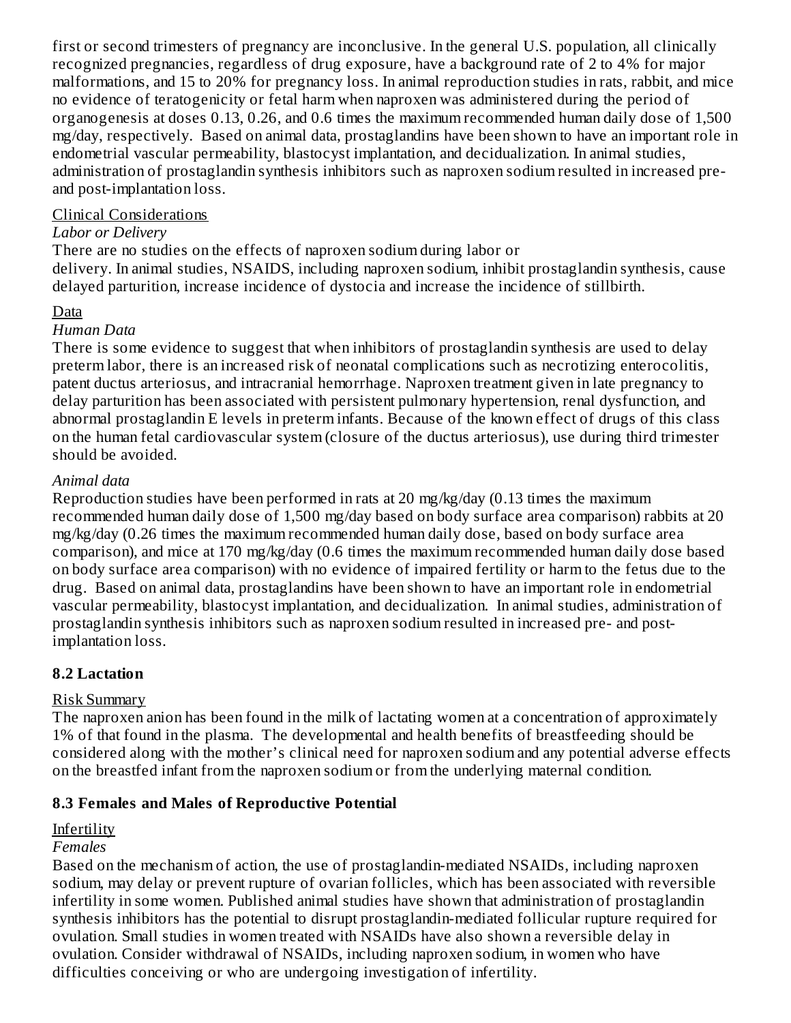first or second trimesters of pregnancy are inconclusive. In the general U.S. population, all clinically recognized pregnancies, regardless of drug exposure, have a background rate of 2 to 4% for major malformations, and 15 to 20% for pregnancy loss. In animal reproduction studies in rats, rabbit, and mice no evidence of teratogenicity or fetal harm when naproxen was administered during the period of organogenesis at doses 0.13, 0.26, and 0.6 times the maximum recommended human daily dose of 1,500 mg/day, respectively. Based on animal data, prostaglandins have been shown to have an important role in endometrial vascular permeability, blastocyst implantation, and decidualization. In animal studies, administration of prostaglandin synthesis inhibitors such as naproxen sodium resulted in increased preand post-implantation loss.

#### Clinical Considerations

#### *Labor or Delivery*

There are no studies on the effects of naproxen sodium during labor or delivery. In animal studies, NSAIDS, including naproxen sodium, inhibit prostaglandin synthesis, cause delayed parturition, increase incidence of dystocia and increase the incidence of stillbirth.

## Data

## *Human Data*

There is some evidence to suggest that when inhibitors of prostaglandin synthesis are used to delay preterm labor, there is an increased risk of neonatal complications such as necrotizing enterocolitis, patent ductus arteriosus, and intracranial hemorrhage. Naproxen treatment given in late pregnancy to delay parturition has been associated with persistent pulmonary hypertension, renal dysfunction, and abnormal prostaglandin E levels in preterm infants. Because of the known effect of drugs of this class on the human fetal cardiovascular system (closure of the ductus arteriosus), use during third trimester should be avoided.

## *Animal data*

Reproduction studies have been performed in rats at 20 mg/kg/day (0.13 times the maximum recommended human daily dose of 1,500 mg/day based on body surface area comparison) rabbits at 20 mg/kg/day (0.26 times the maximum recommended human daily dose, based on body surface area comparison), and mice at 170 mg/kg/day (0.6 times the maximum recommended human daily dose based on body surface area comparison) with no evidence of impaired fertility or harm to the fetus due to the drug. Based on animal data, prostaglandins have been shown to have an important role in endometrial vascular permeability, blastocyst implantation, and decidualization. In animal studies, administration of prostaglandin synthesis inhibitors such as naproxen sodium resulted in increased pre- and postimplantation loss.

## **8.2 Lactation**

## Risk Summary

The naproxen anion has been found in the milk of lactating women at a concentration of approximately 1% of that found in the plasma. The developmental and health benefits of breastfeeding should be considered along with the mother's clinical need for naproxen sodium and any potential adverse effects on the breastfed infant from the naproxen sodium or from the underlying maternal condition.

## **8.3 Females and Males of Reproductive Potential**

## **Infertility**

## *Females*

Based on the mechanism of action, the use of prostaglandin-mediated NSAIDs, including naproxen sodium, may delay or prevent rupture of ovarian follicles, which has been associated with reversible infertility in some women. Published animal studies have shown that administration of prostaglandin synthesis inhibitors has the potential to disrupt prostaglandin-mediated follicular rupture required for ovulation. Small studies in women treated with NSAIDs have also shown a reversible delay in ovulation. Consider withdrawal of NSAIDs, including naproxen sodium, in women who have difficulties conceiving or who are undergoing investigation of infertility.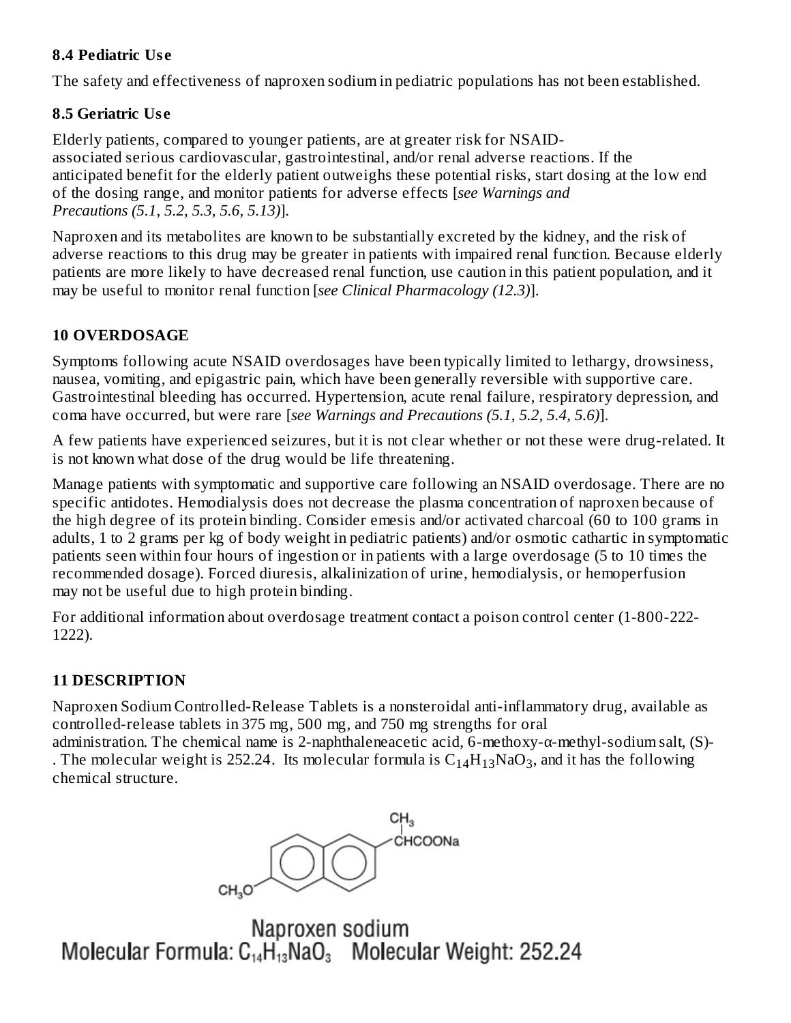## **8.4 Pediatric Us e**

The safety and effectiveness of naproxen sodium in pediatric populations has not been established.

## **8.5 Geriatric Us e**

Elderly patients, compared to younger patients, are at greater risk for NSAIDassociated serious cardiovascular, gastrointestinal, and/or renal adverse reactions. If the anticipated benefit for the elderly patient outweighs these potential risks, start dosing at the low end of the dosing range, and monitor patients for adverse effects [*see Warnings and Precautions (5.1, 5.2, 5.3, 5.6, 5.13)*].

Naproxen and its metabolites are known to be substantially excreted by the kidney, and the risk of adverse reactions to this drug may be greater in patients with impaired renal function. Because elderly patients are more likely to have decreased renal function, use caution in this patient population, and it may be useful to monitor renal function [*see Clinical Pharmacology (12.3)*].

## **10 OVERDOSAGE**

Symptoms following acute NSAID overdosages have been typically limited to lethargy, drowsiness, nausea, vomiting, and epigastric pain, which have been generally reversible with supportive care. Gastrointestinal bleeding has occurred. Hypertension, acute renal failure, respiratory depression, and coma have occurred, but were rare [*see Warnings and Precautions (5.1, 5.2, 5.4, 5.6)*].

A few patients have experienced seizures, but it is not clear whether or not these were drug-related. It is not known what dose of the drug would be life threatening.

Manage patients with symptomatic and supportive care following an NSAID overdosage. There are no specific antidotes. Hemodialysis does not decrease the plasma concentration of naproxen because of the high degree of its protein binding. Consider emesis and/or activated charcoal (60 to 100 grams in adults, 1 to 2 grams per kg of body weight in pediatric patients) and/or osmotic cathartic in symptomatic patients seen within four hours of ingestion or in patients with a large overdosage (5 to 10 times the recommended dosage). Forced diuresis, alkalinization of urine, hemodialysis, or hemoperfusion may not be useful due to high protein binding.

For additional information about overdosage treatment contact a poison control center (1-800-222- 1222).

## **11 DESCRIPTION**

Naproxen Sodium Controlled-Release Tablets is a nonsteroidal anti-inflammatory drug, available as controlled-release tablets in 375 mg, 500 mg, and 750 mg strengths for oral

administration. The chemical name is 2-naphthaleneacetic acid, 6-methoxy-α-methyl-sodium salt, (S)- . The molecular weight is 252.24. Its molecular formula is  $C_{14}H_{13}NaO_3$ , and it has the following chemical structure.



Naproxen sodium Molecular Formula: C<sub>14</sub>H<sub>13</sub>NaO<sub>3</sub> Molecular Weight: 252.24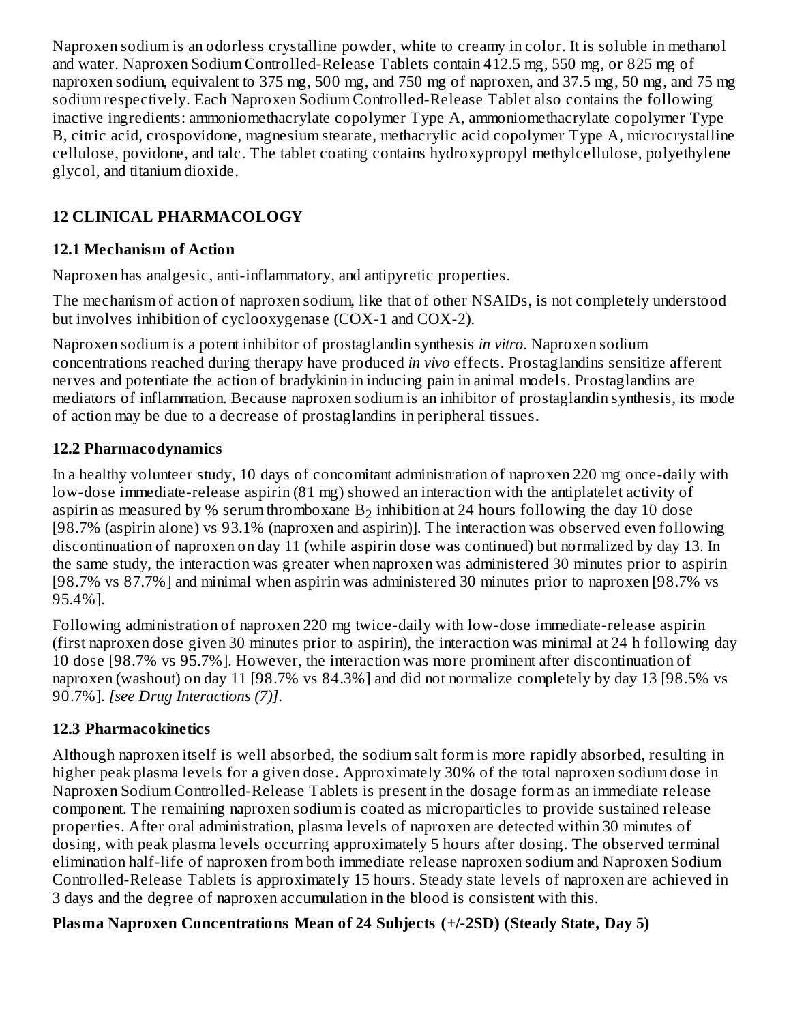Naproxen sodium is an odorless crystalline powder, white to creamy in color. It is soluble in methanol and water. Naproxen Sodium Controlled-Release Tablets contain 412.5 mg, 550 mg, or 825 mg of naproxen sodium, equivalent to 375 mg, 500 mg, and 750 mg of naproxen, and 37.5 mg, 50 mg, and 75 mg sodium respectively. Each Naproxen Sodium Controlled-Release Tablet also contains the following inactive ingredients: ammoniomethacrylate copolymer Type A, ammoniomethacrylate copolymer Type B, citric acid, crospovidone, magnesium stearate, methacrylic acid copolymer Type A, microcrystalline cellulose, povidone, and talc. The tablet coating contains hydroxypropyl methylcellulose, polyethylene glycol, and titanium dioxide.

## **12 CLINICAL PHARMACOLOGY**

## **12.1 Mechanism of Action**

Naproxen has analgesic, anti-inflammatory, and antipyretic properties.

The mechanism of action of naproxen sodium, like that of other NSAIDs, is not completely understood but involves inhibition of cyclooxygenase (COX-1 and COX-2).

Naproxen sodium is a potent inhibitor of prostaglandin synthesis *in vitro*. Naproxen sodium concentrations reached during therapy have produced *in vivo* effects. Prostaglandins sensitize afferent nerves and potentiate the action of bradykinin in inducing pain in animal models. Prostaglandins are mediators of inflammation. Because naproxen sodium is an inhibitor of prostaglandin synthesis, its mode of action may be due to a decrease of prostaglandins in peripheral tissues.

## **12.2 Pharmacodynamics**

In a healthy volunteer study, 10 days of concomitant administration of naproxen 220 mg once-daily with low-dose immediate-release aspirin (81 mg) showed an interaction with the antiplatelet activity of aspirin as measured by % serum thromboxane  $\mathrm{B}_2$  inhibition at 24 hours following the day 10 dose [98.7% (aspirin alone) vs 93.1% (naproxen and aspirin)]. The interaction was observed even following discontinuation of naproxen on day 11 (while aspirin dose was continued) but normalized by day 13. In the same study, the interaction was greater when naproxen was administered 30 minutes prior to aspirin [98.7% vs 87.7%] and minimal when aspirin was administered 30 minutes prior to naproxen [98.7% vs 95.4%].

Following administration of naproxen 220 mg twice-daily with low-dose immediate-release aspirin (first naproxen dose given 30 minutes prior to aspirin), the interaction was minimal at 24 h following day 10 dose [98.7% vs 95.7%]. However, the interaction was more prominent after discontinuation of naproxen (washout) on day 11 [98.7% vs 84.3%] and did not normalize completely by day 13 [98.5% vs 90.7%]. *[see Drug Interactions (7)]*.

## **12.3 Pharmacokinetics**

Although naproxen itself is well absorbed, the sodium salt form is more rapidly absorbed, resulting in higher peak plasma levels for a given dose. Approximately 30% of the total naproxen sodium dose in Naproxen Sodium Controlled-Release Tablets is present in the dosage form as an immediate release component. The remaining naproxen sodium is coated as microparticles to provide sustained release properties. After oral administration, plasma levels of naproxen are detected within 30 minutes of dosing, with peak plasma levels occurring approximately 5 hours after dosing. The observed terminal elimination half-life of naproxen from both immediate release naproxen sodium and Naproxen Sodium Controlled-Release Tablets is approximately 15 hours. Steady state levels of naproxen are achieved in 3 days and the degree of naproxen accumulation in the blood is consistent with this.

## **Plasma Naproxen Concentrations Mean of 24 Subjects (+/-2SD) (Steady State, Day 5)**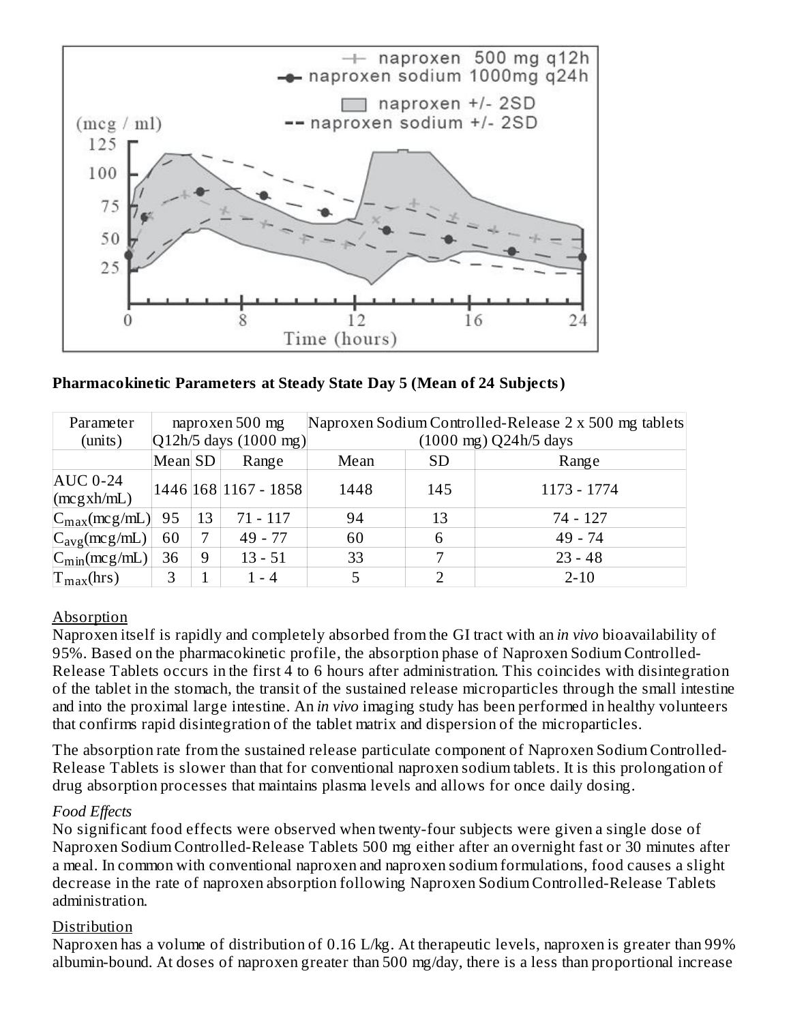

#### **Pharmacokinetic Parameters at Steady State Day 5 (Mean of 24 Subjects)**

| Parameter<br>(mits)             | naproxen 500 mg<br>$Q12h/5$ days (1000 mg) |    |                      | Naproxen Sodium Controlled-Release 2 x 500 mg tablets<br>$(1000 \text{ mg})$ Q24h/5 days |           |             |  |  |  |
|---------------------------------|--------------------------------------------|----|----------------------|------------------------------------------------------------------------------------------|-----------|-------------|--|--|--|
|                                 |                                            |    |                      |                                                                                          |           |             |  |  |  |
|                                 | Mean SD                                    |    | Range                | Mean                                                                                     | <b>SD</b> | Range       |  |  |  |
| <b>AUC 0-24</b><br>(mcgxh/mL)   |                                            |    | 1446 168 1167 - 1858 | 1448                                                                                     | 145       | 1173 - 1774 |  |  |  |
| $ C_{max}(mcg/mL) $             | 95                                         | 13 | $71 - 117$           | 94                                                                                       | 13        | 74 - 127    |  |  |  |
| $C_{avg}$ (mcg/mL)              | 60                                         | 7  | $49 - 77$            | 60                                                                                       | 6         | $49 - 74$   |  |  |  |
| $C_{\text{min}}(\text{mcg/mL})$ | 36                                         | 9  | $13 - 51$            | 33                                                                                       |           | $23 - 48$   |  |  |  |
| $T_{\text{max}}$ (hrs)          | З                                          |    | $1 - 4$              |                                                                                          |           | $2 - 10$    |  |  |  |

#### Absorption

Naproxen itself is rapidly and completely absorbed from the GI tract with an *in vivo* bioavailability of 95%. Based on the pharmacokinetic profile, the absorption phase of Naproxen Sodium Controlled-Release Tablets occurs in the first 4 to 6 hours after administration. This coincides with disintegration of the tablet in the stomach, the transit of the sustained release microparticles through the small intestine and into the proximal large intestine. An *in vivo* imaging study has been performed in healthy volunteers that confirms rapid disintegration of the tablet matrix and dispersion of the microparticles.

The absorption rate from the sustained release particulate component of Naproxen Sodium Controlled-Release Tablets is slower than that for conventional naproxen sodium tablets. It is this prolongation of drug absorption processes that maintains plasma levels and allows for once daily dosing.

#### *Food Effects*

No significant food effects were observed when twenty-four subjects were given a single dose of Naproxen Sodium Controlled-Release Tablets 500 mg either after an overnight fast or 30 minutes after a meal. In common with conventional naproxen and naproxen sodium formulations, food causes a slight decrease in the rate of naproxen absorption following Naproxen Sodium Controlled-Release Tablets administration.

#### Distribution

Naproxen has a volume of distribution of 0.16 L/kg. At therapeutic levels, naproxen is greater than 99% albumin-bound. At doses of naproxen greater than 500 mg/day, there is a less than proportional increase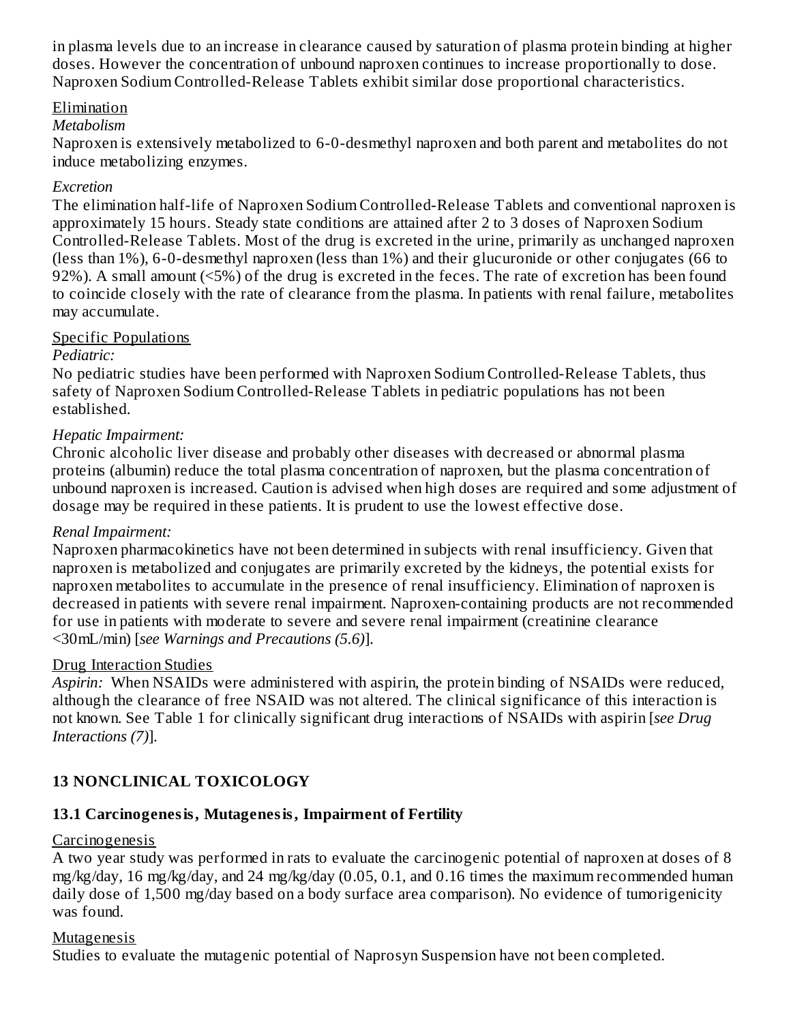in plasma levels due to an increase in clearance caused by saturation of plasma protein binding at higher doses. However the concentration of unbound naproxen continues to increase proportionally to dose. Naproxen Sodium Controlled-Release Tablets exhibit similar dose proportional characteristics.

## Elimination

## *Metabolism*

Naproxen is extensively metabolized to 6-0-desmethyl naproxen and both parent and metabolites do not induce metabolizing enzymes.

### *Excretion*

The elimination half-life of Naproxen Sodium Controlled-Release Tablets and conventional naproxen is approximately 15 hours. Steady state conditions are attained after 2 to 3 doses of Naproxen Sodium Controlled-Release Tablets. Most of the drug is excreted in the urine, primarily as unchanged naproxen (less than 1%), 6-0-desmethyl naproxen (less than 1%) and their glucuronide or other conjugates (66 to 92%). A small amount (<5%) of the drug is excreted in the feces. The rate of excretion has been found to coincide closely with the rate of clearance from the plasma. In patients with renal failure, metabolites may accumulate.

#### Specific Populations

#### *Pediatric:*

No pediatric studies have been performed with Naproxen Sodium Controlled-Release Tablets, thus safety of Naproxen Sodium Controlled-Release Tablets in pediatric populations has not been established.

## *Hepatic Impairment:*

Chronic alcoholic liver disease and probably other diseases with decreased or abnormal plasma proteins (albumin) reduce the total plasma concentration of naproxen, but the plasma concentration of unbound naproxen is increased. Caution is advised when high doses are required and some adjustment of dosage may be required in these patients. It is prudent to use the lowest effective dose.

## *Renal Impairment:*

Naproxen pharmacokinetics have not been determined in subjects with renal insufficiency. Given that naproxen is metabolized and conjugates are primarily excreted by the kidneys, the potential exists for naproxen metabolites to accumulate in the presence of renal insufficiency. Elimination of naproxen is decreased in patients with severe renal impairment. Naproxen-containing products are not recommended for use in patients with moderate to severe and severe renal impairment (creatinine clearance <30mL/min) [*see Warnings and Precautions (5.6)*].

## Drug Interaction Studies

*Aspirin:* When NSAIDs were administered with aspirin, the protein binding of NSAIDs were reduced, although the clearance of free NSAID was not altered. The clinical significance of this interaction is not known. See Table 1 for clinically significant drug interactions of NSAIDs with aspirin [*see Drug Interactions (7)*].

## **13 NONCLINICAL TOXICOLOGY**

## **13.1 Carcinogenesis, Mutagenesis, Impairment of Fertility**

## **Carcinogenesis**

A two year study was performed in rats to evaluate the carcinogenic potential of naproxen at doses of 8 mg/kg/day, 16 mg/kg/day, and 24 mg/kg/day (0.05, 0.1, and 0.16 times the maximum recommended human daily dose of 1,500 mg/day based on a body surface area comparison). No evidence of tumorigenicity was found.

## Mutagenesis

Studies to evaluate the mutagenic potential of Naprosyn Suspension have not been completed.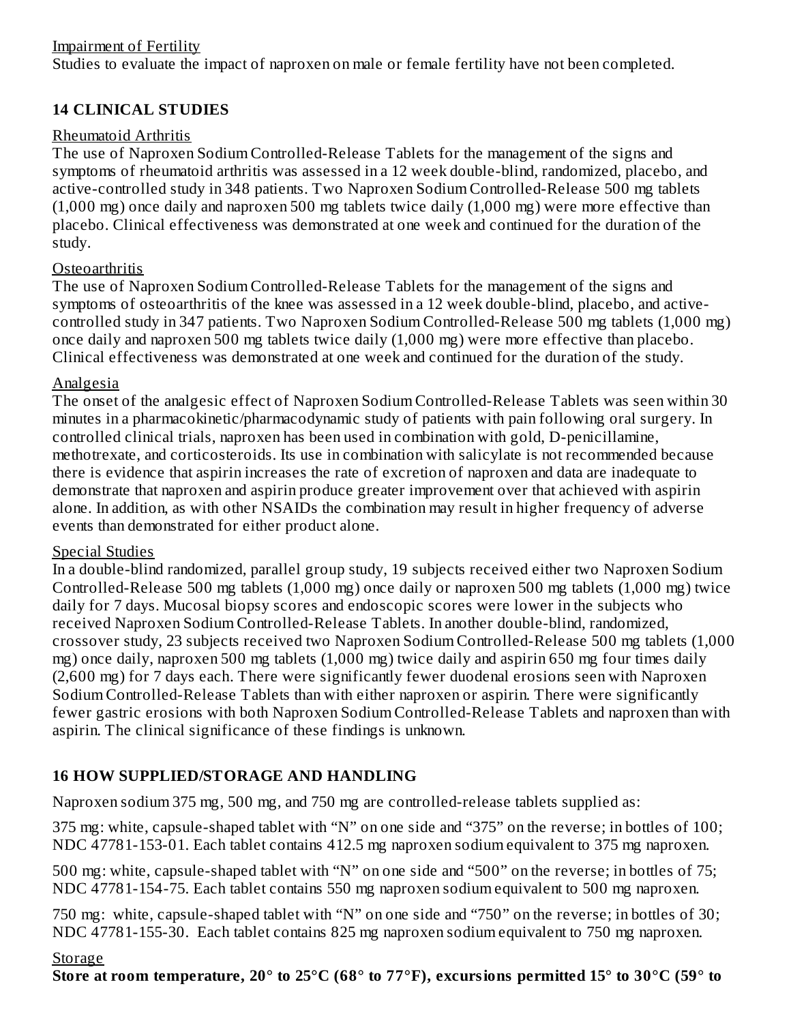## Impairment of Fertility

Studies to evaluate the impact of naproxen on male or female fertility have not been completed.

## **14 CLINICAL STUDIES**

### Rheumatoid Arthritis

The use of Naproxen Sodium Controlled-Release Tablets for the management of the signs and symptoms of rheumatoid arthritis was assessed in a 12 week double-blind, randomized, placebo, and active-controlled study in 348 patients. Two Naproxen Sodium Controlled-Release 500 mg tablets (1,000 mg) once daily and naproxen 500 mg tablets twice daily (1,000 mg) were more effective than placebo. Clinical effectiveness was demonstrated at one week and continued for the duration of the study.

## **Osteoarthritis**

The use of Naproxen Sodium Controlled-Release Tablets for the management of the signs and symptoms of osteoarthritis of the knee was assessed in a 12 week double-blind, placebo, and activecontrolled study in 347 patients. Two Naproxen Sodium Controlled-Release 500 mg tablets (1,000 mg) once daily and naproxen 500 mg tablets twice daily (1,000 mg) were more effective than placebo. Clinical effectiveness was demonstrated at one week and continued for the duration of the study.

#### Analgesia

The onset of the analgesic effect of Naproxen Sodium Controlled-Release Tablets was seen within 30 minutes in a pharmacokinetic/pharmacodynamic study of patients with pain following oral surgery. In controlled clinical trials, naproxen has been used in combination with gold, D-penicillamine, methotrexate, and corticosteroids. Its use in combination with salicylate is not recommended because there is evidence that aspirin increases the rate of excretion of naproxen and data are inadequate to demonstrate that naproxen and aspirin produce greater improvement over that achieved with aspirin alone. In addition, as with other NSAIDs the combination may result in higher frequency of adverse events than demonstrated for either product alone.

## Special Studies

In a double-blind randomized, parallel group study, 19 subjects received either two Naproxen Sodium Controlled-Release 500 mg tablets (1,000 mg) once daily or naproxen 500 mg tablets (1,000 mg) twice daily for 7 days. Mucosal biopsy scores and endoscopic scores were lower in the subjects who received Naproxen Sodium Controlled-Release Tablets. In another double-blind, randomized, crossover study, 23 subjects received two Naproxen Sodium Controlled-Release 500 mg tablets (1,000 mg) once daily, naproxen 500 mg tablets (1,000 mg) twice daily and aspirin 650 mg four times daily (2,600 mg) for 7 days each. There were significantly fewer duodenal erosions seen with Naproxen Sodium Controlled-Release Tablets than with either naproxen or aspirin. There were significantly fewer gastric erosions with both Naproxen Sodium Controlled-Release Tablets and naproxen than with aspirin. The clinical significance of these findings is unknown.

## **16 HOW SUPPLIED/STORAGE AND HANDLING**

Naproxen sodium 375 mg, 500 mg, and 750 mg are controlled-release tablets supplied as:

375 mg: white, capsule-shaped tablet with "N" on one side and "375" on the reverse; in bottles of 100; NDC 47781-153-01. Each tablet contains 412.5 mg naproxen sodium equivalent to 375 mg naproxen.

500 mg: white, capsule-shaped tablet with "N" on one side and "500" on the reverse; in bottles of 75; NDC 47781-154-75. Each tablet contains 550 mg naproxen sodium equivalent to 500 mg naproxen.

750 mg: white, capsule-shaped tablet with "N" on one side and "750" on the reverse; in bottles of 30; NDC 47781-155-30. Each tablet contains 825 mg naproxen sodium equivalent to 750 mg naproxen.

## **Storage**

**Store at room temperature, 20° to 25°C (68° to 77°F), excursions permitted 15° to 30°C (59° to**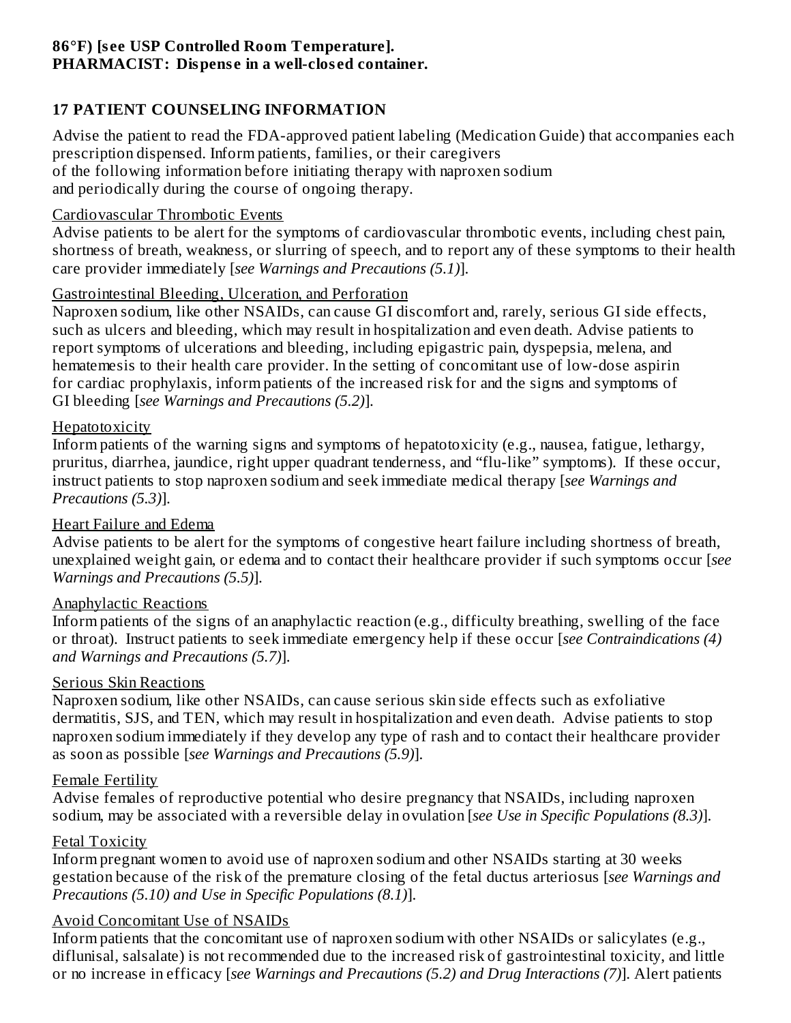## **17 PATIENT COUNSELING INFORMATION**

Advise the patient to read the FDA-approved patient labeling (Medication Guide) that accompanies each prescription dispensed. Inform patients, families, or their caregivers of the following information before initiating therapy with naproxen sodium and periodically during the course of ongoing therapy.

### Cardiovascular Thrombotic Events

Advise patients to be alert for the symptoms of cardiovascular thrombotic events, including chest pain, shortness of breath, weakness, or slurring of speech, and to report any of these symptoms to their health care provider immediately [*see Warnings and Precautions (5.1)*].

## Gastrointestinal Bleeding, Ulceration, and Perforation

Naproxen sodium, like other NSAIDs, can cause GI discomfort and, rarely, serious GI side effects, such as ulcers and bleeding, which may result in hospitalization and even death. Advise patients to report symptoms of ulcerations and bleeding, including epigastric pain, dyspepsia, melena, and hematemesis to their health care provider. In the setting of concomitant use of low-dose aspirin for cardiac prophylaxis, inform patients of the increased risk for and the signs and symptoms of GI bleeding [*see Warnings and Precautions (5.2)*].

## Hepatotoxicity

Inform patients of the warning signs and symptoms of hepatotoxicity (e.g., nausea, fatigue, lethargy, pruritus, diarrhea, jaundice, right upper quadrant tenderness, and "flu-like" symptoms). If these occur, instruct patients to stop naproxen sodium and seek immediate medical therapy [*see Warnings and Precautions (5.3)*].

## Heart Failure and Edema

Advise patients to be alert for the symptoms of congestive heart failure including shortness of breath, unexplained weight gain, or edema and to contact their healthcare provider if such symptoms occur [*see Warnings and Precautions (5.5)*].

## Anaphylactic Reactions

Inform patients of the signs of an anaphylactic reaction (e.g., difficulty breathing, swelling of the face or throat). Instruct patients to seek immediate emergency help if these occur [*see Contraindications (4) and Warnings and Precautions (5.7)*].

## Serious Skin Reactions

Naproxen sodium, like other NSAIDs, can cause serious skin side effects such as exfoliative dermatitis, SJS, and TEN, which may result in hospitalization and even death. Advise patients to stop naproxen sodium immediately if they develop any type of rash and to contact their healthcare provider as soon as possible [*see Warnings and Precautions (5.9)*].

## Female Fertility

Advise females of reproductive potential who desire pregnancy that NSAIDs, including naproxen sodium, may be associated with a reversible delay in ovulation [*see Use in Specific Populations (8.3)*].

## Fetal Toxicity

Inform pregnant women to avoid use of naproxen sodium and other NSAIDs starting at 30 weeks gestation because of the risk of the premature closing of the fetal ductus arteriosus [*see Warnings and Precautions (5.10) and Use in Specific Populations (8.1)*].

## Avoid Concomitant Use of NSAIDs

Inform patients that the concomitant use of naproxen sodium with other NSAIDs or salicylates (e.g., diflunisal, salsalate) is not recommended due to the increased risk of gastrointestinal toxicity, and little or no increase in efficacy [*see Warnings and Precautions (5.2) and Drug Interactions (7)*]. Alert patients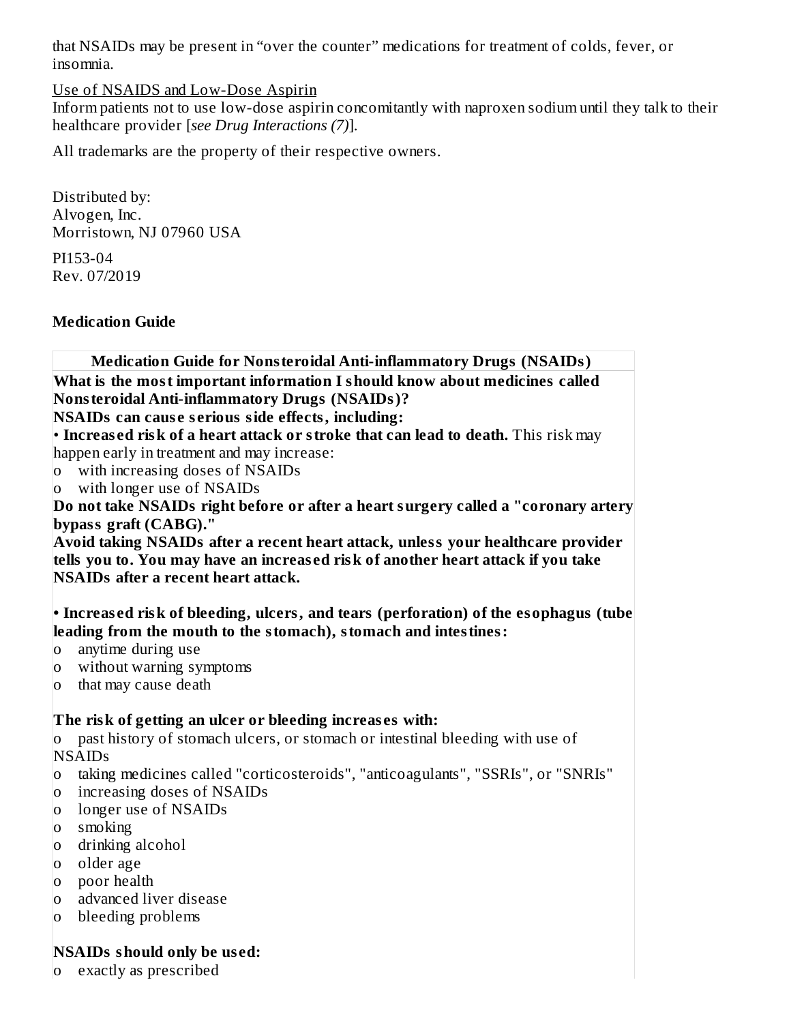that NSAIDs may be present in "over the counter" medications for treatment of colds, fever, or insomnia.

#### Use of NSAIDS and Low-Dose Aspirin

Inform patients not to use low-dose aspirin concomitantly with naproxen sodium until they talk to their healthcare provider [*see Drug Interactions (7)*].

All trademarks are the property of their respective owners.

Distributed by: Alvogen, Inc. Morristown, NJ 07960 USA

PI153-04 Rev. 07/2019

#### **Medication Guide**

**Medication Guide for Nonsteroidal Anti-inflammatory Drugs (NSAIDs)**

**What is the most important information I should know about medicines called Nonsteroidal Anti-inflammatory Drugs (NSAIDs)?**

**NSAIDs can caus e s erious side effects, including:**

• **Increas ed risk of a heart attack or stroke that can lead to death.** This risk may happen early in treatment and may increase:

- o with increasing doses of NSAIDs
- o with longer use of NSAIDs

**Do not take NSAIDs right before or after a heart surgery called a "coronary artery bypass graft (CABG)."**

**Avoid taking NSAIDs after a recent heart attack, unless your healthcare provider tells you to. You may have an increas ed risk of another heart attack if you take NSAIDs after a recent heart attack.**

**• Increas ed risk of bleeding, ulcers, and tears (perforation) of the esophagus (tube leading from the mouth to the stomach), stomach and intestines:**

- o anytime during use
- o without warning symptoms
- o that may cause death

## **The risk of getting an ulcer or bleeding increas es with:**

o past history of stomach ulcers, or stomach or intestinal bleeding with use of NSAIDs

o taking medicines called "corticosteroids", "anticoagulants", "SSRIs", or "SNRIs"

- o increasing doses of NSAIDs
- o longer use of NSAIDs
- o smoking
- o drinking alcohol
- o older age
- o poor health
- o advanced liver disease
- o bleeding problems

## **NSAIDs should only be us ed:**

o exactly as prescribed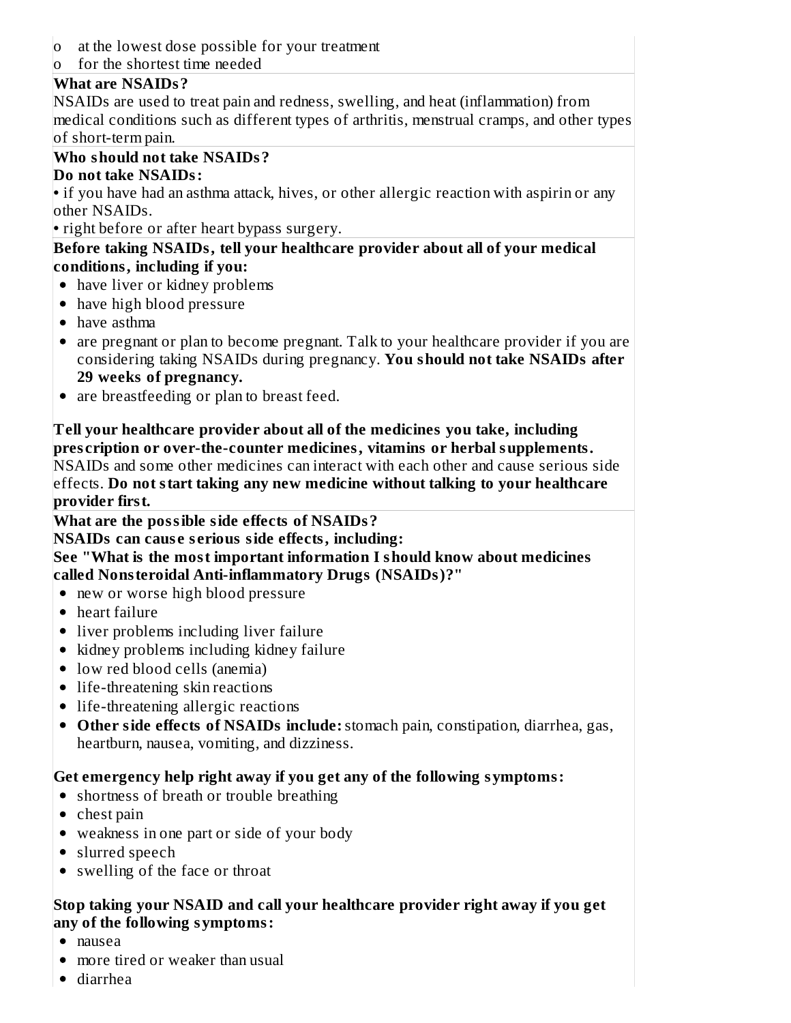- o at the lowest dose possible for your treatment
- o for the shortest time needed

## **What are NSAIDs?**

NSAIDs are used to treat pain and redness, swelling, and heat (inflammation) from medical conditions such as different types of arthritis, menstrual cramps, and other types of short-term pain.

# **Who should not take NSAIDs?**

#### **Do not take NSAIDs:**

**•** if you have had an asthma attack, hives, or other allergic reaction with aspirin or any other NSAIDs.

**•** right before or after heart bypass surgery.

## **Before taking NSAIDs, tell your healthcare provider about all of your medical conditions, including if you:**

- have liver or kidney problems
- have high blood pressure
- have asthma
- are pregnant or plan to become pregnant. Talk to your healthcare provider if you are considering taking NSAIDs during pregnancy. **You should not take NSAIDs after 29 weeks of pregnancy.**
- are breastfeeding or plan to breast feed.

## **Tell your healthcare provider about all of the medicines you take, including pres cription or over-the-counter medicines, vitamins or herbal supplements.**

NSAIDs and some other medicines can interact with each other and cause serious side effects. **Do not start taking any new medicine without talking to your healthcare provider first.**

## **What are the possible side effects of NSAIDs?**

**NSAIDs can caus e s erious side effects, including:**

**See "What is the most important information I should know about medicines called Nonsteroidal Anti-inflammatory Drugs (NSAIDs)?"**

- new or worse high blood pressure
- heart failure
- liver problems including liver failure
- kidney problems including kidney failure
- low red blood cells (anemia)
- life-threatening skin reactions
- life-threatening allergic reactions
- **Other side effects of NSAIDs include:**stomach pain, constipation, diarrhea, gas, heartburn, nausea, vomiting, and dizziness.

## **Get emergency help right away if you get any of the following symptoms:**

- shortness of breath or trouble breathing
- chest pain
- weakness in one part or side of your body
- slurred speech
- swelling of the face or throat

## **Stop taking your NSAID and call your healthcare provider right away if you get any of the following symptoms:**

- nausea
- more tired or weaker than usual
- diarrhea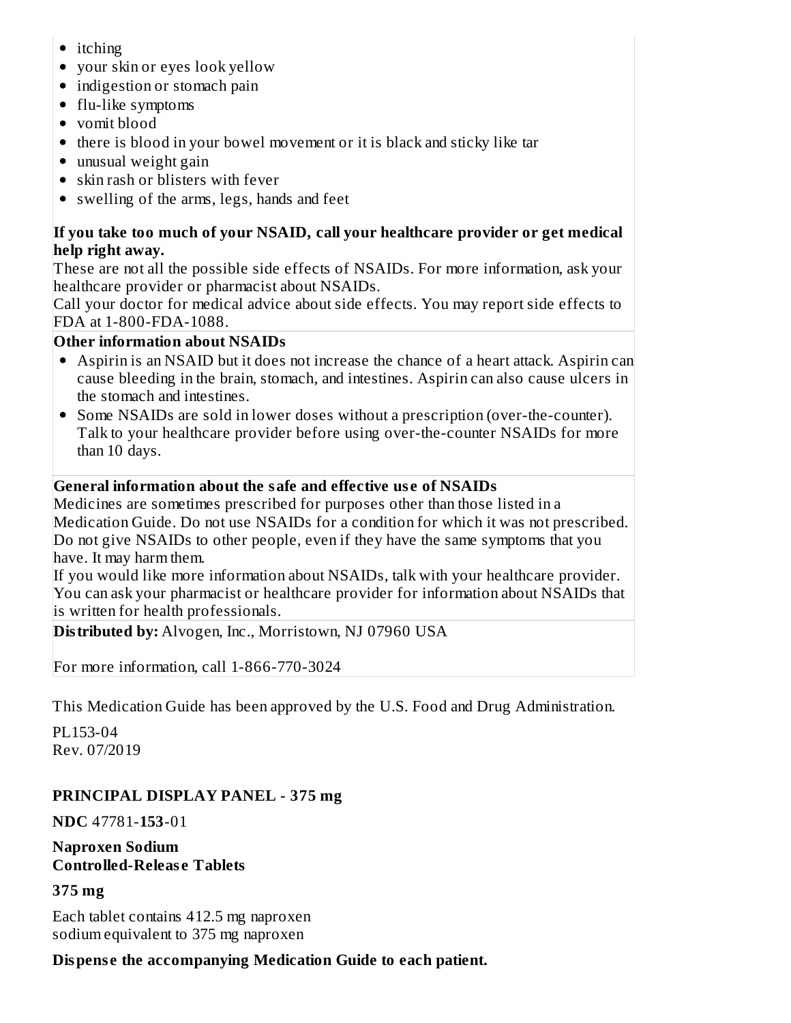- itching
- your skin or eyes look yellow
- indigestion or stomach pain
- flu-like symptoms
- vomit blood
- there is blood in your bowel movement or it is black and sticky like tar
- unusual weight gain
- skin rash or blisters with fever
- swelling of the arms, legs, hands and feet

## **If you take too much of your NSAID, call your healthcare provider or get medical help right away.**

These are not all the possible side effects of NSAIDs. For more information, ask your healthcare provider or pharmacist about NSAIDs.

Call your doctor for medical advice about side effects. You may report side effects to FDA at 1-800-FDA-1088.

## **Other information about NSAIDs**

- Aspirin is an NSAID but it does not increase the chance of a heart attack. Aspirin can cause bleeding in the brain, stomach, and intestines. Aspirin can also cause ulcers in the stomach and intestines.
- Some NSAIDs are sold in lower doses without a prescription (over-the-counter). Talk to your healthcare provider before using over-the-counter NSAIDs for more than 10 days.

## **General information about the safe and effective us e of NSAIDs**

Medicines are sometimes prescribed for purposes other than those listed in a Medication Guide. Do not use NSAIDs for a condition for which it was not prescribed. Do not give NSAIDs to other people, even if they have the same symptoms that you have. It may harm them.

If you would like more information about NSAIDs, talk with your healthcare provider. You can ask your pharmacist or healthcare provider for information about NSAIDs that is written for health professionals.

**Distributed by:** Alvogen, Inc., Morristown, NJ 07960 USA

For more information, call 1-866-770-3024

This Medication Guide has been approved by the U.S. Food and Drug Administration.

PL153-04 Rev. 07/2019

## **PRINCIPAL DISPLAY PANEL - 375 mg**

**NDC** 47781-**153**-01

**Naproxen Sodium Controlled-Releas e Tablets**

## **375 mg**

Each tablet contains 412.5 mg naproxen sodium equivalent to 375 mg naproxen

## **Dispens e the accompanying Medication Guide to each patient.**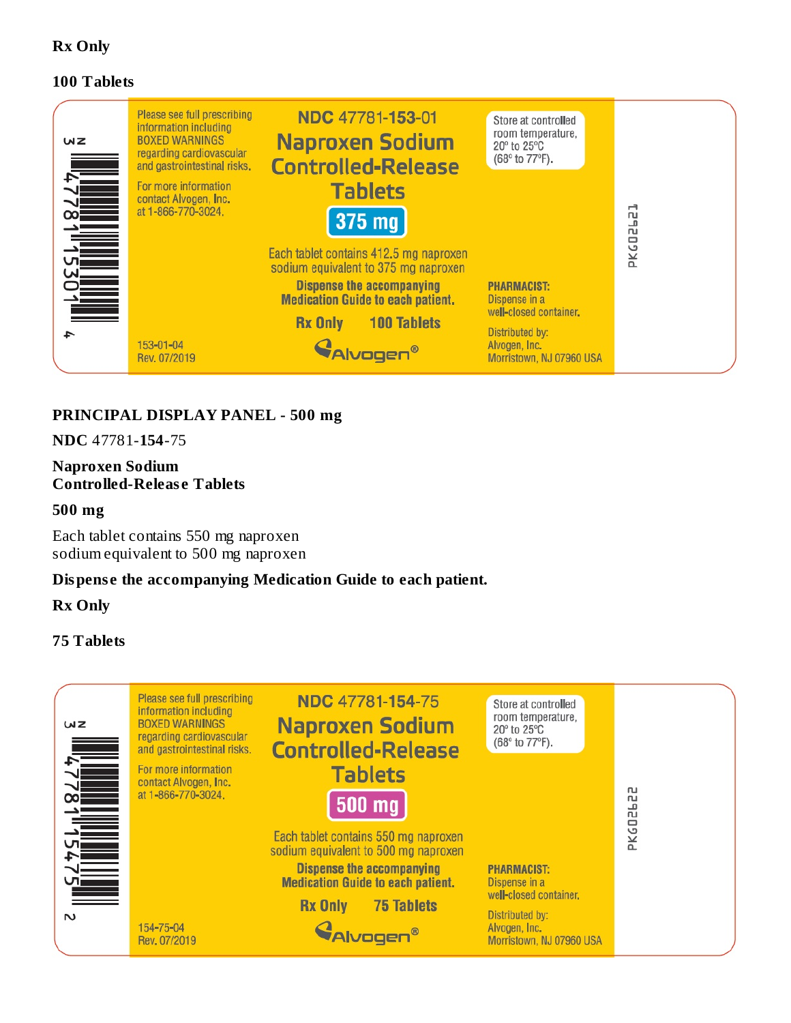## **Rx Only**

#### **100 Tablets**



## **PRINCIPAL DISPLAY PANEL - 500 mg**

**NDC** 47781-**154**-75

#### **Naproxen Sodium Controlled-Releas e Tablets**

#### **500 mg**

Each tablet contains 550 mg naproxen sodium equivalent to 500 mg naproxen

#### **Dispens e the accompanying Medication Guide to each patient.**

#### **Rx Only**

#### **75 Tablets**

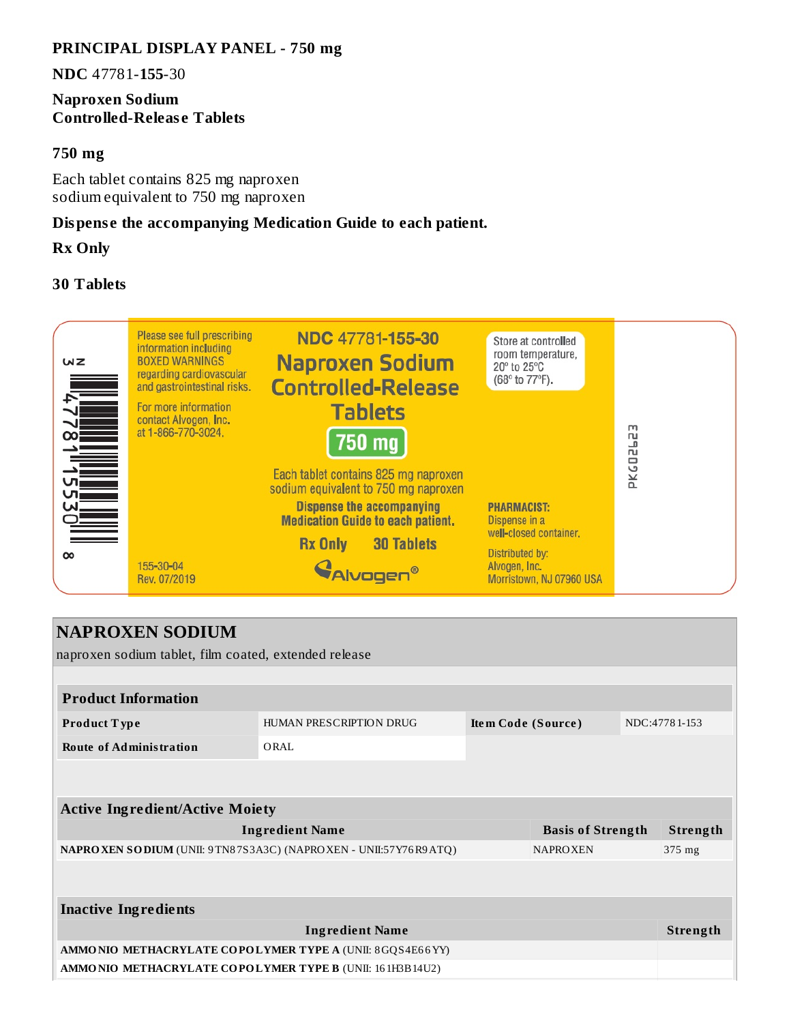#### **PRINCIPAL DISPLAY PANEL - 750 mg**

**NDC** 47781-**155**-30

#### **Naproxen Sodium Controlled-Releas e Tablets**

#### **750 mg**

Each tablet contains 825 mg naproxen sodium equivalent to 750 mg naproxen

### **Dispens e the accompanying Medication Guide to each patient.**

**Rx Only**

## **30 Tablets**



| <b>NAPROXEN SODIUM</b><br>naproxen sodium tablet, film coated, extended release |                                                                    |                    |                          |  |                 |  |
|---------------------------------------------------------------------------------|--------------------------------------------------------------------|--------------------|--------------------------|--|-----------------|--|
|                                                                                 |                                                                    |                    |                          |  |                 |  |
| <b>Product Information</b>                                                      |                                                                    |                    |                          |  |                 |  |
| Product Type                                                                    | HUMAN PRESCRIPTION DRUG                                            | Item Code (Source) |                          |  | NDC: 4778 1-153 |  |
| <b>Route of Administration</b>                                                  | ORAL                                                               |                    |                          |  |                 |  |
|                                                                                 |                                                                    |                    |                          |  |                 |  |
| <b>Active Ingredient/Active Moiety</b>                                          |                                                                    |                    |                          |  |                 |  |
|                                                                                 | <b>Ingredient Name</b>                                             |                    | <b>Basis of Strength</b> |  | Strength        |  |
|                                                                                 | NAPRO XEN SODIUM (UNII: 9TN87S3A3C) (NAPRO XEN - UNII:57Y76R9 ATQ) |                    | <b>NAPROXEN</b>          |  | 375 mg          |  |
|                                                                                 |                                                                    |                    |                          |  |                 |  |
| <b>Inactive Ingredients</b>                                                     |                                                                    |                    |                          |  |                 |  |
|                                                                                 | <b>Ingredient Name</b>                                             |                    |                          |  | Strength        |  |
| AMMONIO METHACRYLATE COPOLYMER TYPE A (UNII: 8GQS4E66YY)                        |                                                                    |                    |                          |  |                 |  |
| AMMONIO METHACRYLATE COPOLYMER TYPE B (UNII: 16 1H3B14U2)                       |                                                                    |                    |                          |  |                 |  |
|                                                                                 |                                                                    |                    |                          |  |                 |  |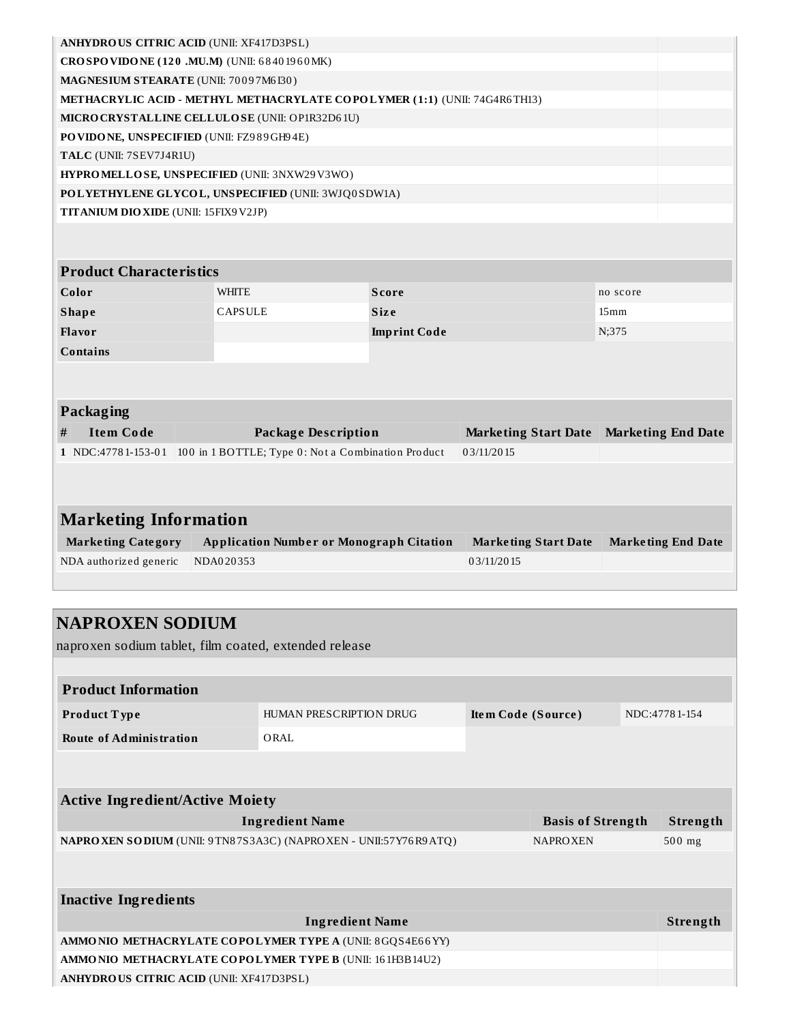| <b>ANHYDROUS CITRIC ACID (UNII: XF417D3PSL)</b>    |                                                                           |                     |                             |                           |  |  |
|----------------------------------------------------|---------------------------------------------------------------------------|---------------------|-----------------------------|---------------------------|--|--|
| <b>CROSPOVIDONE (120 .MU.M)</b> (UNII: 68401960MK) |                                                                           |                     |                             |                           |  |  |
| MAGNESIUM STEARATE (UNII: 70097M6I30)              |                                                                           |                     |                             |                           |  |  |
|                                                    | METHACRYLIC ACID - METHYL METHACRYLATE COPOLYMER (1:1) (UNII: 74G4R6TH13) |                     |                             |                           |  |  |
|                                                    | MICRO CRYSTALLINE CELLULO SE (UNII: OP1R32D61U)                           |                     |                             |                           |  |  |
| PO VIDONE, UNSPECIFIED (UNII: FZ989GH94E)          |                                                                           |                     |                             |                           |  |  |
| TALC (UNII: 7SEV7J4R1U)                            |                                                                           |                     |                             |                           |  |  |
|                                                    | HYPROMELLOSE, UNSPECIFIED (UNII: 3NXW29V3WO)                              |                     |                             |                           |  |  |
|                                                    | POLYETHYLENE GLYCOL, UNSPECIFIED (UNII: 3WJQ0SDW1A)                       |                     |                             |                           |  |  |
| <b>TITANIUM DIO XIDE (UNII: 15FIX9 V2JP)</b>       |                                                                           |                     |                             |                           |  |  |
|                                                    |                                                                           |                     |                             |                           |  |  |
|                                                    |                                                                           |                     |                             |                           |  |  |
| <b>Product Characteristics</b>                     |                                                                           |                     |                             |                           |  |  |
| Color                                              | <b>WHITE</b>                                                              | <b>Score</b>        |                             | no score                  |  |  |
| <b>Shape</b>                                       | <b>CAPSULE</b>                                                            | <b>Size</b>         |                             | 15mm                      |  |  |
| Flavor                                             |                                                                           | <b>Imprint Code</b> |                             | N;375                     |  |  |
| <b>Contains</b>                                    |                                                                           |                     |                             |                           |  |  |
|                                                    |                                                                           |                     |                             |                           |  |  |
|                                                    |                                                                           |                     |                             |                           |  |  |
| Packaging                                          |                                                                           |                     |                             |                           |  |  |
| <b>Item Code</b><br>#                              | <b>Package Description</b>                                                |                     | <b>Marketing Start Date</b> | <b>Marketing End Date</b> |  |  |
| $1$ NDC:47781-153-01                               | 100 in 1 BOTTLE; Type 0: Not a Combination Product                        |                     | 03/11/2015                  |                           |  |  |
|                                                    |                                                                           |                     |                             |                           |  |  |
|                                                    |                                                                           |                     |                             |                           |  |  |
|                                                    |                                                                           |                     |                             |                           |  |  |
| <b>Marketing Information</b>                       |                                                                           |                     |                             |                           |  |  |
| <b>Marketing Category</b>                          | <b>Application Number or Monograph Citation</b>                           |                     | <b>Marketing Start Date</b> | <b>Marketing End Date</b> |  |  |
| NDA authorized generic                             | NDA020353                                                                 |                     | 03/11/2015                  |                           |  |  |
|                                                    |                                                                           |                     |                             |                           |  |  |
|                                                    |                                                                           |                     |                             |                           |  |  |
| <b>NAPROXEN SODIUM</b>                             |                                                                           |                     |                             |                           |  |  |
|                                                    | naproxen sodium tablet, film coated, extended release                     |                     |                             |                           |  |  |

| <b>Product Information</b>                                |                                                                     |                    |                          |  |                 |
|-----------------------------------------------------------|---------------------------------------------------------------------|--------------------|--------------------------|--|-----------------|
| Product Type                                              | HUMAN PRESCRIPTION DRUG                                             | Item Code (Source) |                          |  | NDC: 4778 1-154 |
| <b>Route of Administration</b>                            | ORAL                                                                |                    |                          |  |                 |
|                                                           |                                                                     |                    |                          |  |                 |
|                                                           |                                                                     |                    |                          |  |                 |
| <b>Active Ingredient/Active Moiety</b>                    |                                                                     |                    |                          |  |                 |
|                                                           | <b>Ingredient Name</b>                                              |                    | <b>Basis of Strength</b> |  | Strength        |
|                                                           | NAPRO XEN SODIUM (UNII: 9 TN87S3A3C) (NAPRO XEN - UNII:57Y76R9 ATQ) |                    | <b>NAPROXEN</b>          |  | $500$ mg        |
|                                                           |                                                                     |                    |                          |  |                 |
|                                                           |                                                                     |                    |                          |  |                 |
| <b>Inactive Ingredients</b>                               |                                                                     |                    |                          |  |                 |
| <b>Ingredient Name</b>                                    |                                                                     |                    |                          |  |                 |
| AMMONIO METHACRYLATE COPOLYMER TYPE A (UNII: 8GQS4E66YY)  |                                                                     |                    |                          |  |                 |
| AMMONIO METHACRYLATE COPOLYMER TYPE B (UNII: 16 1H3B14U2) |                                                                     |                    |                          |  |                 |
| <b>ANHYDROUS CITRIC ACID (UNII: XF417D3PSL)</b>           |                                                                     |                    |                          |  |                 |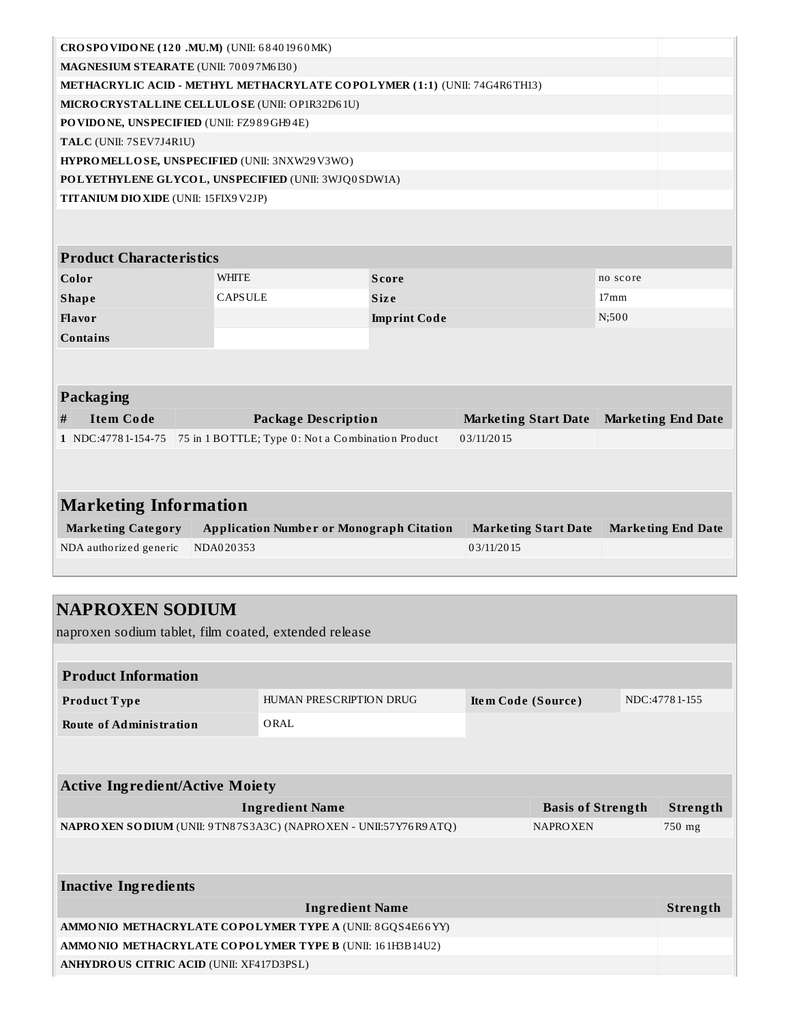| CROSPOVIDONE (120 .MU.M) (UNII: 68401960MK)                               |                                       |                                                   |                     |                             |                             |                  |                           |  |
|---------------------------------------------------------------------------|---------------------------------------|---------------------------------------------------|---------------------|-----------------------------|-----------------------------|------------------|---------------------------|--|
|                                                                           | MAGNESIUM STEARATE (UNII: 70097M6I30) |                                                   |                     |                             |                             |                  |                           |  |
| METHACRYLIC ACID - METHYL METHACRYLATE COPOLYMER (1:1) (UNII: 74G4R6TH13) |                                       |                                                   |                     |                             |                             |                  |                           |  |
| MICRO CRYSTALLINE CELLULO SE (UNII: OP1R32D61U)                           |                                       |                                                   |                     |                             |                             |                  |                           |  |
| PO VIDONE, UNSPECIFIED (UNII: FZ989GH94E)                                 |                                       |                                                   |                     |                             |                             |                  |                           |  |
| TALC (UNII: 7SEV7J4R1U)                                                   |                                       |                                                   |                     |                             |                             |                  |                           |  |
| HYPROMELLOSE, UNSPECIFIED (UNII: 3NXW29V3WO)                              |                                       |                                                   |                     |                             |                             |                  |                           |  |
| POLYETHYLENE GLYCOL, UNSPECIFIED (UNII: 3WJQ0SDW1A)                       |                                       |                                                   |                     |                             |                             |                  |                           |  |
| TITANIUM DIO XIDE (UNII: 15FIX9 V2JP)                                     |                                       |                                                   |                     |                             |                             |                  |                           |  |
|                                                                           |                                       |                                                   |                     |                             |                             |                  |                           |  |
|                                                                           |                                       |                                                   |                     |                             |                             |                  |                           |  |
| <b>Product Characteristics</b>                                            |                                       |                                                   |                     |                             |                             |                  |                           |  |
| Color                                                                     | <b>WHITE</b>                          |                                                   | <b>Score</b>        |                             |                             | no score         |                           |  |
| <b>Shape</b>                                                              | CAPSULE                               |                                                   | <b>Size</b>         |                             |                             | 17 <sub>mm</sub> |                           |  |
| Flavor                                                                    |                                       |                                                   | <b>Imprint Code</b> |                             |                             | N;500            |                           |  |
| <b>Contains</b>                                                           |                                       |                                                   |                     |                             |                             |                  |                           |  |
|                                                                           |                                       |                                                   |                     |                             |                             |                  |                           |  |
|                                                                           |                                       |                                                   |                     |                             |                             |                  |                           |  |
| Packaging                                                                 |                                       |                                                   |                     |                             |                             |                  |                           |  |
| <b>Item Code</b><br>#                                                     |                                       | <b>Package Description</b>                        |                     | <b>Marketing Start Date</b> |                             |                  | <b>Marketing End Date</b> |  |
|                                                                           |                                       |                                                   |                     |                             |                             |                  |                           |  |
|                                                                           |                                       |                                                   |                     | 03/11/2015                  |                             |                  |                           |  |
| 1 NDC:47781-154-75                                                        |                                       | 75 in 1 BOTTLE; Type 0: Not a Combination Product |                     |                             |                             |                  |                           |  |
|                                                                           |                                       |                                                   |                     |                             |                             |                  |                           |  |
|                                                                           |                                       |                                                   |                     |                             |                             |                  |                           |  |
| <b>Marketing Information</b>                                              |                                       |                                                   |                     |                             |                             |                  |                           |  |
| <b>Marketing Category</b>                                                 |                                       | <b>Application Number or Monograph Citation</b>   |                     |                             | <b>Marketing Start Date</b> |                  | <b>Marketing End Date</b> |  |
| NDA authorized generic                                                    | NDA020353                             |                                                   |                     | 03/11/2015                  |                             |                  |                           |  |
|                                                                           |                                       |                                                   |                     |                             |                             |                  |                           |  |
|                                                                           |                                       |                                                   |                     |                             |                             |                  |                           |  |
|                                                                           |                                       |                                                   |                     |                             |                             |                  |                           |  |
| <b>NAPROXEN SODIUM</b>                                                    |                                       |                                                   |                     |                             |                             |                  |                           |  |
| naproxen sodium tablet, film coated, extended release                     |                                       |                                                   |                     |                             |                             |                  |                           |  |
|                                                                           |                                       |                                                   |                     |                             |                             |                  |                           |  |
| <b>Product Information</b>                                                |                                       |                                                   |                     |                             |                             |                  |                           |  |
| Product Type                                                              |                                       | HUMAN PRESCRIPTION DRUG                           |                     | Item Code (Source)          |                             |                  | NDC:47781-155             |  |
| <b>Route of Administration</b>                                            |                                       | ORAL                                              |                     |                             |                             |                  |                           |  |
|                                                                           |                                       |                                                   |                     |                             |                             |                  |                           |  |
|                                                                           |                                       |                                                   |                     |                             |                             |                  |                           |  |
|                                                                           |                                       |                                                   |                     |                             |                             |                  |                           |  |
| <b>Active Ingredient/Active Moiety</b>                                    |                                       |                                                   |                     |                             |                             |                  |                           |  |
|                                                                           |                                       | <b>Ingredient Name</b>                            |                     |                             | <b>Basis of Strength</b>    |                  | Strength                  |  |
| NAPRO XEN SODIUM (UNII: 9 TN87S3A3C) (NAPRO XEN - UNII:57Y76R9 ATQ)       |                                       |                                                   |                     |                             | <b>NAPROXEN</b>             |                  | 750 mg                    |  |

| Inactive Ingredients                                            |          |
|-----------------------------------------------------------------|----------|
| Ingredient Name                                                 | Strength |
| <b>AMMONIO METHACRYLATE COPOLYMER TYPE A (UNII: 8GOS4E66YY)</b> |          |
| AMMONIO METHACRYLATE COPOLYMER TYPE B (UNII: 16 1H3B14U2)       |          |
| <b>ANHYDROUS CITRIC ACID (UNII: XF417D3PSL)</b>                 |          |